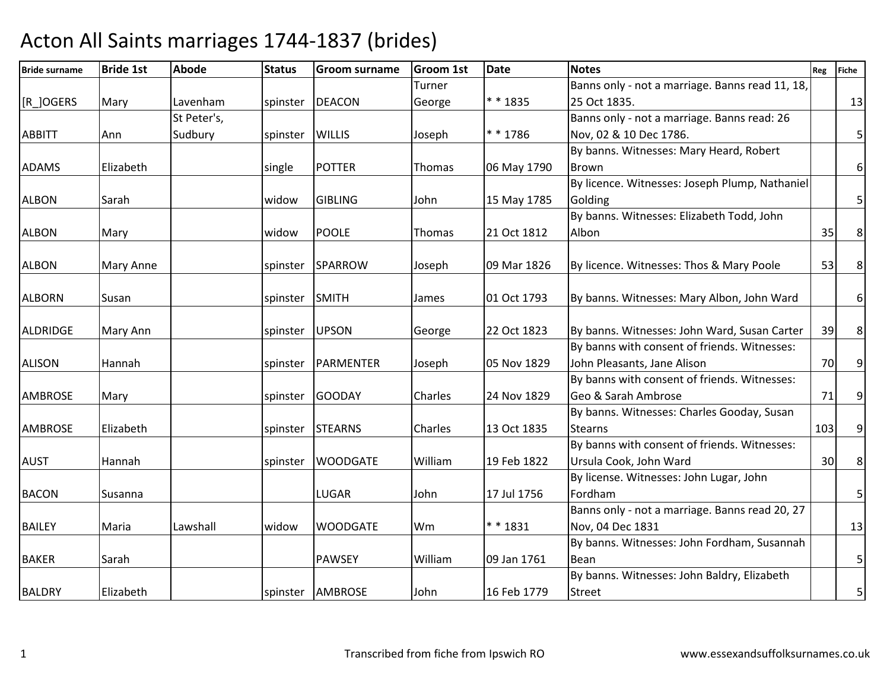| <b>Bride surname</b> | <b>Bride 1st</b> | <b>Abode</b> | <b>Status</b>  | <b>Groom surname</b> | <b>Groom 1st</b> | <b>Date</b> | <b>Notes</b>                                    | Reg | <b>Fiche</b>            |
|----------------------|------------------|--------------|----------------|----------------------|------------------|-------------|-------------------------------------------------|-----|-------------------------|
|                      |                  |              |                |                      | Turner           |             | Banns only - not a marriage. Banns read 11, 18, |     |                         |
| [R_]OGERS            | Mary             | Lavenham     | spinster       | <b>DEACON</b>        | George           | * * 1835    | 25 Oct 1835.                                    |     | 13                      |
|                      |                  | St Peter's,  |                |                      |                  |             | Banns only - not a marriage. Banns read: 26     |     |                         |
| <b>ABBITT</b>        | Ann              | Sudbury      | spinster       | <b>WILLIS</b>        | Joseph           | $* * 1786$  | Nov, 02 & 10 Dec 1786.                          |     | 5 <sup>1</sup>          |
|                      |                  |              |                |                      |                  |             | By banns. Witnesses: Mary Heard, Robert         |     |                         |
| <b>ADAMS</b>         | Elizabeth        |              | single         | <b>POTTER</b>        | Thomas           | 06 May 1790 | <b>Brown</b>                                    |     | 6 <sup>1</sup>          |
|                      |                  |              |                |                      |                  |             | By licence. Witnesses: Joseph Plump, Nathaniel  |     |                         |
| <b>ALBON</b>         | Sarah            |              | widow          | <b>GIBLING</b>       | John             | 15 May 1785 | Golding                                         |     | 5 <sup>1</sup>          |
|                      |                  |              |                |                      |                  |             | By banns. Witnesses: Elizabeth Todd, John       |     |                         |
| <b>ALBON</b>         | Mary             |              | widow          | <b>POOLE</b>         | Thomas           | 21 Oct 1812 | Albon                                           | 35  | $\,8\,$                 |
|                      |                  |              |                |                      |                  |             |                                                 |     |                         |
| <b>ALBON</b>         | Mary Anne        |              |                | spinster SPARROW     | Joseph           | 09 Mar 1826 | By licence. Witnesses: Thos & Mary Poole        | 53  | 8                       |
|                      |                  |              |                |                      |                  |             |                                                 |     |                         |
| <b>ALBORN</b>        | Susan            |              | spinster SMITH |                      | James            | 01 Oct 1793 | By banns. Witnesses: Mary Albon, John Ward      |     | $6\,$                   |
|                      |                  |              |                |                      |                  |             |                                                 |     |                         |
| <b>ALDRIDGE</b>      | Mary Ann         |              | spinster UPSON |                      | George           | 22 Oct 1823 | By banns. Witnesses: John Ward, Susan Carter    | 39  | $\bf 8$                 |
|                      |                  |              |                |                      |                  |             | By banns with consent of friends. Witnesses:    |     |                         |
| <b>ALISON</b>        | Hannah           |              | spinster       | PARMENTER            | Joseph           | 05 Nov 1829 | John Pleasants, Jane Alison                     | 70  | $\overline{9}$          |
|                      |                  |              |                |                      |                  |             | By banns with consent of friends. Witnesses:    |     |                         |
| <b>AMBROSE</b>       | Mary             |              | spinster       | GOODAY               | Charles          | 24 Nov 1829 | Geo & Sarah Ambrose                             | 71  | 9                       |
|                      |                  |              |                |                      |                  |             | By banns. Witnesses: Charles Gooday, Susan      |     |                         |
| <b>AMBROSE</b>       | Elizabeth        |              | spinster       | <b>STEARNS</b>       | Charles          | 13 Oct 1835 | <b>Stearns</b>                                  | 103 | $\boldsymbol{9}$        |
|                      |                  |              |                |                      |                  |             | By banns with consent of friends. Witnesses:    |     |                         |
| <b>AUST</b>          | Hannah           |              | spinster       | <b>WOODGATE</b>      | William          | 19 Feb 1822 | Ursula Cook, John Ward                          | 30  | 8 <sup>1</sup>          |
|                      |                  |              |                |                      |                  |             | By license. Witnesses: John Lugar, John         |     |                         |
| <b>BACON</b>         | Susanna          |              |                | LUGAR                | John             | 17 Jul 1756 | Fordham                                         |     | $\overline{\mathbf{5}}$ |
|                      |                  |              |                |                      |                  |             | Banns only - not a marriage. Banns read 20, 27  |     |                         |
| <b>BAILEY</b>        | Maria            | Lawshall     | widow          | <b>WOODGATE</b>      | Wm               | ** 1831     | Nov, 04 Dec 1831                                |     | 13                      |
|                      |                  |              |                |                      |                  |             | By banns. Witnesses: John Fordham, Susannah     |     |                         |
| <b>BAKER</b>         | Sarah            |              |                | PAWSEY               | William          | 09 Jan 1761 | Bean                                            |     | $\overline{\mathbf{5}}$ |
|                      |                  |              |                |                      |                  |             | By banns. Witnesses: John Baldry, Elizabeth     |     |                         |
| <b>BALDRY</b>        | Elizabeth        |              |                | spinster AMBROSE     | John             | 16 Feb 1779 | <b>Street</b>                                   |     | $\overline{5}$          |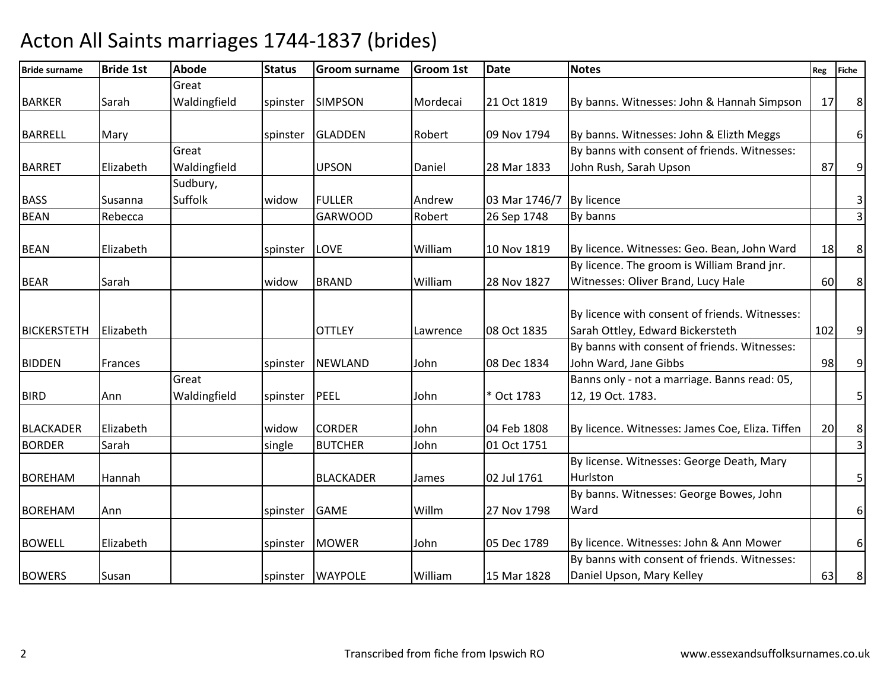#### Bride surname Bride 1st Abodee Status Groom surname Groom 1st Date Notes Notes Reg Fiche BARKER Sarah Great Waldingfieldspinster SIMPSON Mordecai 21 Oct 1819 By banns. Witnesses: John & Hannah Simpson | 17 8 BARRELL Mary Nary Spinster GLADDEN Robert 09 Nov 1794  $\log$  Nov 1794 By banns. Witnesses: John & Elizth Meggs 6BARRET **Elizabeth** Great Waldingfield UPSON Daniel 28 Mar 1833 By banns with consent of friends. Witnesses: John Rush, Sarah Upsonn 87 9 BASS Susanna<br>BEAN Rebecca Sudbury, Suffolkwidow FULLER Andrew 03 Mar 1746/7<br>GARWOOD Robert 26 Sep 1748 By licence 3<br>By banns 3 BEANN Rebecca GARWOOD Robert 26 Sep 1748 By banns Rebecca 3 BEAN Elizabeth spinster LOVE William 10 Nov 1819 10 Nov 1819 | By licence. Witnesses: Geo. Bean, John Ward <sup>18</sup> <sup>8</sup> BEAR Sarah widow BRAND William 28 Nov 1827By licence. The groom is William Brand jnr. Witnesses: Oliver Brand, Lucy Halee 60 8 BICKERSTETH Elizabeth | 2000 COTTLEY | Lawrence | 08 Oct 1835 By licence with consent of friends. Witnesses: Sarah Ottley, Edward Bickerstethh | 102 | 9 | BIDDEN Frances | spinster NEWLAND | John 08 Dec 1834 By banns with consent of friends. Witnesses: John Ward, Jane Gibbss 98 9 BIRD Ann Great Waldingfieldd spinster PEEL John \* Oct 1783 Banns only - not a marriage. Banns read: 05, 12, 19 Oct. 1783. 5BLACKADER Elizabeth | widow CORDER | John | 04 Feb 1808 04 Feb 1808 By licence. Witnesses: James Coe, Eliza. Tiffen<br>01 Oct 1751  $\begin{array}{c|c}\n20 & 8 \\
\hline\n3\n\end{array}$ **BORDER**  Sarah single BUTCHER John 01 Oct 1751 <sup>3</sup> BOREHAM |Hannah | | | |BLACKADER |James 02 Jul 1761 By license. Witnesses: George Death, Mary Hurlstonn 5 BOREHAM Ann 1798 Spinster GAME Willm 27 Nov 1798 By banns. Witnesses: George Bowes, John **Ward** 6BOWELL Elizabeth spinster MOWER John 05 Dec 1789 O5 Dec 1789 | By licence. Witnesses: John & Ann Mower 6BOWERS Susan 1988 Spinster WAYPOLE William 15 Mar 1828 By banns with consent of friends. Witnesses: Daniel Upson, Mary Kelleyy 63 8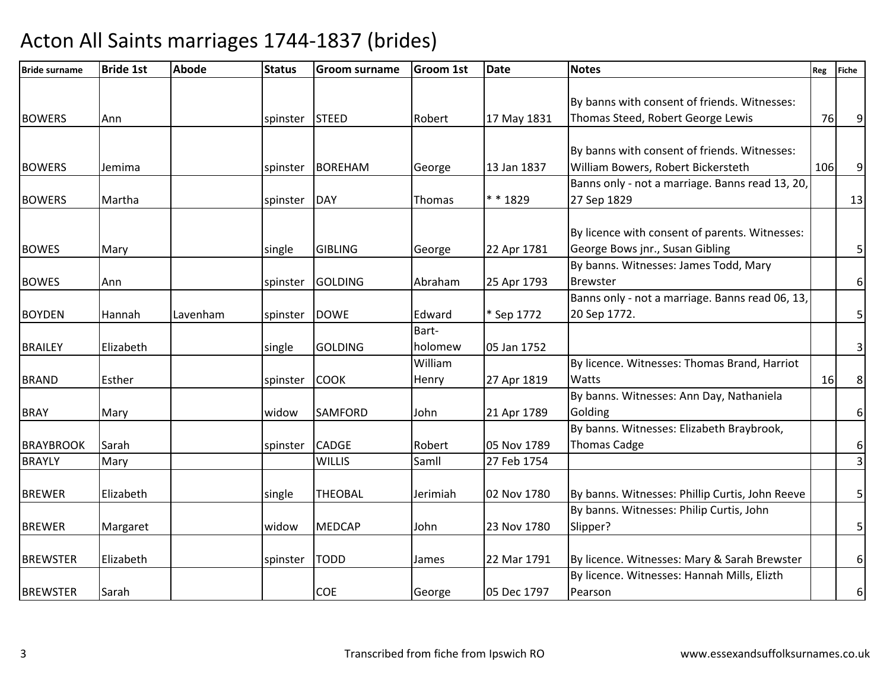| <b>Bride surname</b> | <b>Bride 1st</b> | <b>Abode</b> | <b>Status</b>  | <b>Groom surname</b> | <b>Groom 1st</b> | <b>Date</b> | <b>Notes</b>                                    | Reg | <b>Fiche</b>            |
|----------------------|------------------|--------------|----------------|----------------------|------------------|-------------|-------------------------------------------------|-----|-------------------------|
|                      |                  |              |                |                      |                  |             |                                                 |     |                         |
|                      |                  |              |                |                      |                  |             | By banns with consent of friends. Witnesses:    |     |                         |
| <b>BOWERS</b>        | Ann              |              | spinster STEED |                      | Robert           | 17 May 1831 | Thomas Steed, Robert George Lewis               | 76  | 9                       |
|                      |                  |              |                |                      |                  |             |                                                 |     |                         |
|                      |                  |              |                |                      |                  |             | By banns with consent of friends. Witnesses:    |     |                         |
| <b>BOWERS</b>        | Jemima           |              | spinster       | <b>BOREHAM</b>       | George           | 13 Jan 1837 | William Bowers, Robert Bickersteth              | 106 | 9                       |
|                      |                  |              |                |                      |                  |             | Banns only - not a marriage. Banns read 13, 20, |     |                         |
| <b>BOWERS</b>        | Martha           |              | spinster       | DAY                  | Thomas           | * * 1829    | 27 Sep 1829                                     |     | 13                      |
|                      |                  |              |                |                      |                  |             | By licence with consent of parents. Witnesses:  |     |                         |
|                      |                  |              |                |                      |                  |             |                                                 |     |                         |
| <b>BOWES</b>         | Mary             |              | single         | <b>GIBLING</b>       | George           | 22 Apr 1781 | George Bows jnr., Susan Gibling                 |     | $\overline{5}$          |
|                      |                  |              |                |                      |                  |             | By banns. Witnesses: James Todd, Mary           |     |                         |
| <b>BOWES</b>         | Ann              |              | spinster       | <b>GOLDING</b>       | Abraham          | 25 Apr 1793 | <b>Brewster</b>                                 |     | $\boldsymbol{6}$        |
|                      |                  |              |                |                      |                  |             | Banns only - not a marriage. Banns read 06, 13, |     |                         |
| <b>BOYDEN</b>        | Hannah           | Lavenham     | spinster       | <b>DOWE</b>          | Edward           | * Sep 1772  | 20 Sep 1772.                                    |     | $\overline{5}$          |
|                      |                  |              |                |                      | Bart-            |             |                                                 |     |                         |
| <b>BRAILEY</b>       | Elizabeth        |              | single         | <b>GOLDING</b>       | holomew          | 05 Jan 1752 |                                                 |     | 3                       |
|                      |                  |              |                |                      | William          |             | By licence. Witnesses: Thomas Brand, Harriot    |     |                         |
| <b>BRAND</b>         | Esther           |              | spinster       | <b>COOK</b>          | Henry            | 27 Apr 1819 | <b>Watts</b>                                    | 16  | $\bf 8$                 |
|                      |                  |              |                |                      |                  |             | By banns. Witnesses: Ann Day, Nathaniela        |     |                         |
| <b>BRAY</b>          | Mary             |              | widow          | <b>SAMFORD</b>       | John             | 21 Apr 1789 | Golding                                         |     | $\boldsymbol{6}$        |
|                      |                  |              |                |                      |                  |             | By banns. Witnesses: Elizabeth Braybrook,       |     |                         |
| <b>BRAYBROOK</b>     | Sarah            |              | spinster       | <b>CADGE</b>         | Robert           | 05 Nov 1789 | Thomas Cadge                                    |     | $\boldsymbol{6}$        |
| <b>BRAYLY</b>        | Mary             |              |                | <b>WILLIS</b>        | Samll            | 27 Feb 1754 |                                                 |     | $\overline{\mathbf{3}}$ |
|                      |                  |              |                |                      |                  |             |                                                 |     |                         |
| <b>BREWER</b>        | Elizabeth        |              | single         | <b>THEOBAL</b>       | Jerimiah         | 02 Nov 1780 | By banns. Witnesses: Phillip Curtis, John Reeve |     | $\overline{5}$          |
|                      |                  |              |                |                      |                  |             | By banns. Witnesses: Philip Curtis, John        |     |                         |
| <b>BREWER</b>        | Margaret         |              | widow          | <b>MEDCAP</b>        | John             | 23 Nov 1780 | Slipper?                                        |     | 5                       |
|                      |                  |              |                |                      |                  |             |                                                 |     |                         |
| <b>BREWSTER</b>      | Elizabeth        |              | spinster       | <b>TODD</b>          | James            | 22 Mar 1791 | By licence. Witnesses: Mary & Sarah Brewster    |     | $6\,$                   |
|                      |                  |              |                |                      |                  |             | By licence. Witnesses: Hannah Mills, Elizth     |     |                         |
| <b>BREWSTER</b>      | Sarah            |              |                | <b>COE</b>           | George           | 05 Dec 1797 | Pearson                                         |     | $\boldsymbol{6}$        |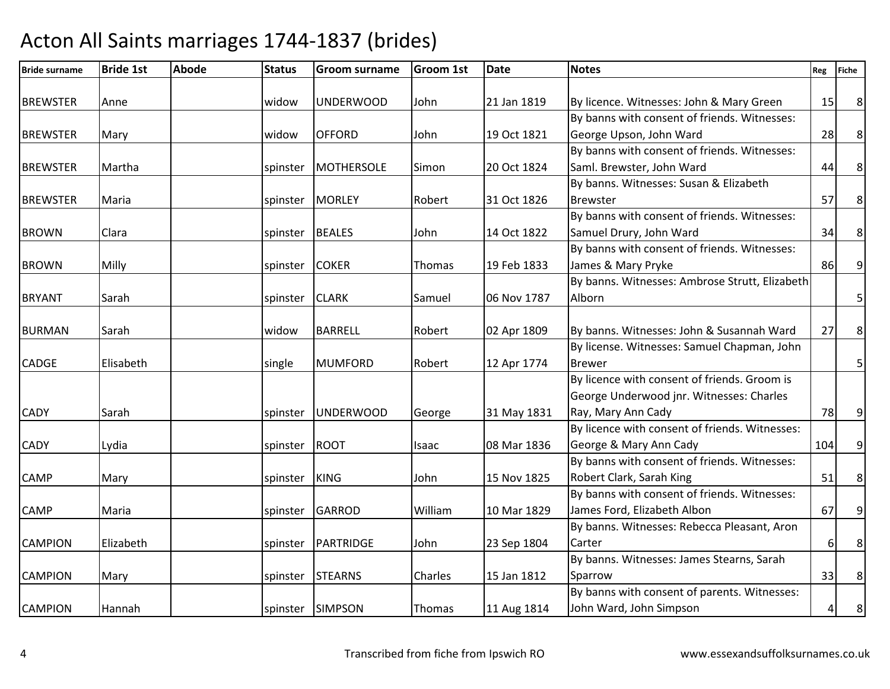| <b>Bride surname</b> | <b>Bride 1st</b> | <b>Abode</b> | <b>Status</b> | <b>Groom surname</b> | <b>Groom 1st</b> | <b>Date</b> | <b>Notes</b>                                   | Reg | <b>Fiche</b>     |
|----------------------|------------------|--------------|---------------|----------------------|------------------|-------------|------------------------------------------------|-----|------------------|
|                      |                  |              |               |                      |                  |             |                                                |     |                  |
| <b>BREWSTER</b>      | Anne             |              | widow         | <b>UNDERWOOD</b>     | John             | 21 Jan 1819 | By licence. Witnesses: John & Mary Green       | 15  | $\boldsymbol{8}$ |
|                      |                  |              |               |                      |                  |             | By banns with consent of friends. Witnesses:   |     |                  |
| <b>BREWSTER</b>      | Mary             |              | widow         | <b>OFFORD</b>        | John             | 19 Oct 1821 | George Upson, John Ward                        | 28  | $\,8\,$          |
|                      |                  |              |               |                      |                  |             | By banns with consent of friends. Witnesses:   |     |                  |
| <b>BREWSTER</b>      | Martha           |              | spinster      | <b>MOTHERSOLE</b>    | Simon            | 20 Oct 1824 | Saml. Brewster, John Ward                      | 44  | $\,8\,$          |
|                      |                  |              |               |                      |                  |             | By banns. Witnesses: Susan & Elizabeth         |     |                  |
| <b>BREWSTER</b>      | Maria            |              | spinster      | <b>MORLEY</b>        | Robert           | 31 Oct 1826 | <b>Brewster</b>                                | 57  | $\bf 8$          |
|                      |                  |              |               |                      |                  |             | By banns with consent of friends. Witnesses:   |     |                  |
| <b>BROWN</b>         | Clara            |              | spinster      | <b>BEALES</b>        | John             | 14 Oct 1822 | Samuel Drury, John Ward                        | 34  | $\bf 8$          |
|                      |                  |              |               |                      |                  |             | By banns with consent of friends. Witnesses:   |     |                  |
| <b>BROWN</b>         | Milly            |              | spinster      | <b>COKER</b>         | Thomas           | 19 Feb 1833 | James & Mary Pryke                             | 86  | $\overline{9}$   |
|                      |                  |              |               |                      |                  |             | By banns. Witnesses: Ambrose Strutt, Elizabeth |     |                  |
| <b>BRYANT</b>        | Sarah            |              | spinster      | <b>CLARK</b>         | Samuel           | 06 Nov 1787 | Alborn                                         |     | 5 <sup>1</sup>   |
|                      |                  |              |               |                      |                  |             |                                                |     |                  |
| <b>BURMAN</b>        | Sarah            |              | widow         | <b>BARRELL</b>       | Robert           | 02 Apr 1809 | By banns. Witnesses: John & Susannah Ward      | 27  | $\bf 8$          |
|                      |                  |              |               |                      |                  |             | By license. Witnesses: Samuel Chapman, John    |     |                  |
| <b>CADGE</b>         | Elisabeth        |              | single        | <b>MUMFORD</b>       | Robert           | 12 Apr 1774 | <b>Brewer</b>                                  |     | $\overline{5}$   |
|                      |                  |              |               |                      |                  |             | By licence with consent of friends. Groom is   |     |                  |
|                      |                  |              |               |                      |                  |             | George Underwood jnr. Witnesses: Charles       |     |                  |
| <b>CADY</b>          | Sarah            |              | spinster      | <b>UNDERWOOD</b>     | George           | 31 May 1831 | Ray, Mary Ann Cady                             | 78  | 9                |
|                      |                  |              |               |                      |                  |             | By licence with consent of friends. Witnesses: |     |                  |
| <b>CADY</b>          | Lydia            |              | spinster      | <b>ROOT</b>          | Isaac            | 08 Mar 1836 | George & Mary Ann Cady                         | 104 | $\overline{9}$   |
|                      |                  |              |               |                      |                  |             | By banns with consent of friends. Witnesses:   |     |                  |
| <b>CAMP</b>          | Mary             |              | spinster      | <b>KING</b>          | John             | 15 Nov 1825 | Robert Clark, Sarah King                       | 51  | $\,8\,$          |
|                      |                  |              |               |                      |                  |             | By banns with consent of friends. Witnesses:   |     |                  |
| <b>CAMP</b>          | Maria            |              | spinster      | <b>GARROD</b>        | William          | 10 Mar 1829 | James Ford, Elizabeth Albon                    | 67  | $\overline{9}$   |
|                      |                  |              |               |                      |                  |             | By banns. Witnesses: Rebecca Pleasant, Aron    |     |                  |
| <b>CAMPION</b>       | Elizabeth        |              | spinster      | PARTRIDGE            | John             | 23 Sep 1804 | Carter                                         | 6   | 8                |
|                      |                  |              |               |                      |                  |             | By banns. Witnesses: James Stearns, Sarah      |     |                  |
| <b>CAMPION</b>       | Mary             |              | spinster      | <b>STEARNS</b>       | Charles          | 15 Jan 1812 | Sparrow                                        | 33  | 8 <sup>1</sup>   |
|                      |                  |              |               |                      |                  |             | By banns with consent of parents. Witnesses:   |     |                  |
| <b>CAMPION</b>       | Hannah           |              |               | spinster SIMPSON     | Thomas           | 11 Aug 1814 | John Ward, John Simpson                        | 4   | 8 <sup>1</sup>   |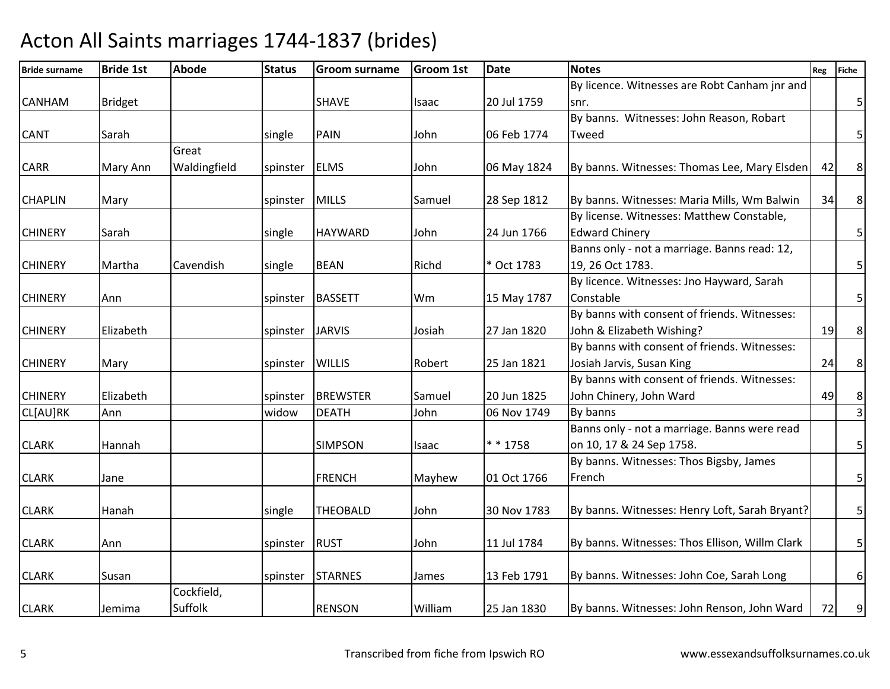| <b>Bride surname</b> | <b>Bride 1st</b> | <b>Abode</b> | <b>Status</b> | <b>Groom surname</b> | <b>Groom 1st</b> | <b>Date</b> | <b>Notes</b>                                   | Reg | <b>Fiche</b>            |
|----------------------|------------------|--------------|---------------|----------------------|------------------|-------------|------------------------------------------------|-----|-------------------------|
|                      |                  |              |               |                      |                  |             | By licence. Witnesses are Robt Canham jnr and  |     |                         |
| <b>CANHAM</b>        | <b>Bridget</b>   |              |               | <b>SHAVE</b>         | Isaac            | 20 Jul 1759 | snr.                                           |     | 5                       |
|                      |                  |              |               |                      |                  |             | By banns. Witnesses: John Reason, Robart       |     |                         |
| <b>CANT</b>          | Sarah            |              | single        | PAIN                 | John             | 06 Feb 1774 | Tweed                                          |     | 5                       |
|                      |                  | Great        |               |                      |                  |             |                                                |     |                         |
| <b>CARR</b>          | Mary Ann         | Waldingfield | spinster      | <b>ELMS</b>          | John             | 06 May 1824 | By banns. Witnesses: Thomas Lee, Mary Elsden   | 42  | $\,8\,$                 |
| <b>CHAPLIN</b>       | Mary             |              | spinster      | <b>MILLS</b>         | Samuel           | 28 Sep 1812 | By banns. Witnesses: Maria Mills, Wm Balwin    | 34  | $\,8\,$                 |
|                      |                  |              |               |                      |                  |             | By license. Witnesses: Matthew Constable,      |     |                         |
| <b>CHINERY</b>       | Sarah            |              | single        | <b>HAYWARD</b>       | John             | 24 Jun 1766 | <b>Edward Chinery</b>                          |     | $5\vert$                |
|                      |                  |              |               |                      |                  |             | Banns only - not a marriage. Banns read: 12,   |     |                         |
| <b>CHINERY</b>       | Martha           | Cavendish    | single        | <b>BEAN</b>          | Richd            | * Oct 1783  | 19, 26 Oct 1783.                               |     | $\overline{\mathbf{5}}$ |
|                      |                  |              |               |                      |                  |             | By licence. Witnesses: Jno Hayward, Sarah      |     |                         |
| <b>CHINERY</b>       | Ann              |              | spinster      | <b>BASSETT</b>       | Wm               | 15 May 1787 | Constable                                      |     | 5                       |
|                      |                  |              |               |                      |                  |             | By banns with consent of friends. Witnesses:   |     |                         |
| <b>CHINERY</b>       | Elizabeth        |              | spinster      | <b>JARVIS</b>        | Josiah           | 27 Jan 1820 | John & Elizabeth Wishing?                      | 19  | $\bf 8$                 |
|                      |                  |              |               |                      |                  |             | By banns with consent of friends. Witnesses:   |     |                         |
| <b>CHINERY</b>       | Mary             |              | spinster      | <b>WILLIS</b>        | Robert           | 25 Jan 1821 | Josiah Jarvis, Susan King                      | 24  | $\bf 8$                 |
|                      |                  |              |               |                      |                  |             | By banns with consent of friends. Witnesses:   |     |                         |
| <b>CHINERY</b>       | Elizabeth        |              | spinster      | <b>BREWSTER</b>      | Samuel           | 20 Jun 1825 | John Chinery, John Ward                        | 49  | $\bf 8$                 |
| CL[AU]RK             | Ann              |              | widow         | <b>DEATH</b>         | John             | 06 Nov 1749 | By banns                                       |     | $\overline{\mathbf{3}}$ |
|                      |                  |              |               |                      |                  |             | Banns only - not a marriage. Banns were read   |     |                         |
| <b>CLARK</b>         | Hannah           |              |               | <b>SIMPSON</b>       | Isaac            | * * 1758    | on 10, 17 & 24 Sep 1758.                       |     | $\overline{5}$          |
|                      |                  |              |               |                      |                  |             | By banns. Witnesses: Thos Bigsby, James        |     |                         |
| <b>CLARK</b>         | Jane             |              |               | <b>FRENCH</b>        | Mayhew           | 01 Oct 1766 | French                                         |     | $\overline{\mathbf{5}}$ |
|                      |                  |              |               |                      |                  |             |                                                |     |                         |
| <b>CLARK</b>         | Hanah            |              | single        | <b>THEOBALD</b>      | John             | 30 Nov 1783 | By banns. Witnesses: Henry Loft, Sarah Bryant? |     | $\overline{5}$          |
| <b>CLARK</b>         | Ann              |              | spinster RUST |                      | John             | 11 Jul 1784 | By banns. Witnesses: Thos Ellison, Willm Clark |     | $\overline{5}$          |
|                      |                  |              |               |                      |                  |             |                                                |     |                         |
| <b>CLARK</b>         | Susan            |              | spinster      | <b>STARNES</b>       | James            | 13 Feb 1791 | By banns. Witnesses: John Coe, Sarah Long      |     | $\boldsymbol{6}$        |
|                      |                  | Cockfield,   |               |                      |                  |             |                                                |     |                         |
| <b>CLARK</b>         | Jemima           | Suffolk      |               | <b>RENSON</b>        | William          | 25 Jan 1830 | By banns. Witnesses: John Renson, John Ward    | 72  | 9                       |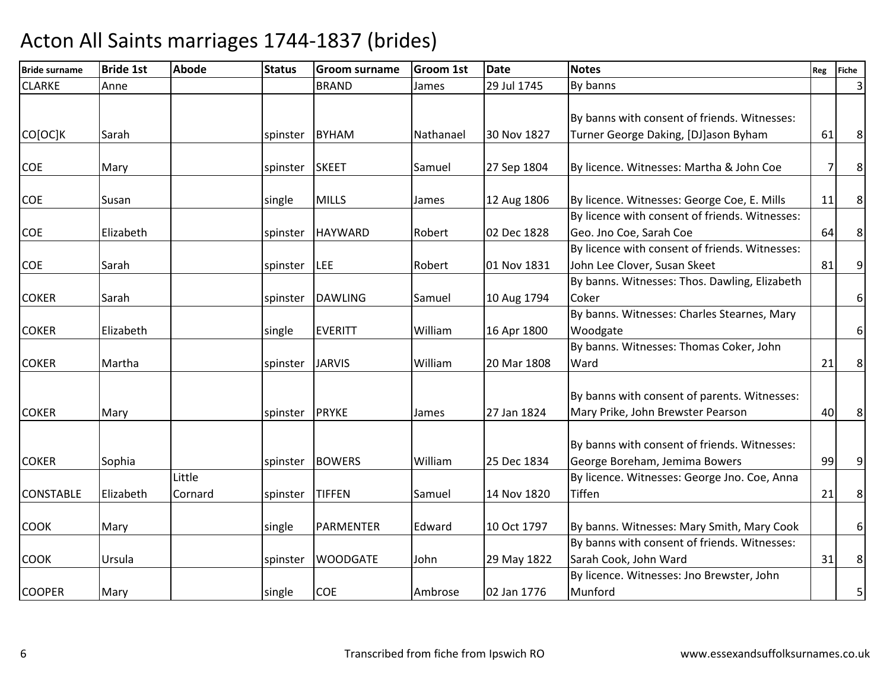| <b>Bride surname</b> | <b>Bride 1st</b> | <b>Abode</b> | <b>Status</b>  | <b>Groom surname</b> | <b>Groom 1st</b> | <b>Date</b> | <b>Notes</b>                                   | Reg | <b>Fiche</b>     |
|----------------------|------------------|--------------|----------------|----------------------|------------------|-------------|------------------------------------------------|-----|------------------|
| <b>CLARKE</b>        | Anne             |              |                | <b>BRAND</b>         | James            | 29 Jul 1745 | By banns                                       |     | 3                |
|                      |                  |              |                |                      |                  |             | By banns with consent of friends. Witnesses:   |     |                  |
| CO[OC]K              | Sarah            |              | spinster       | <b>BYHAM</b>         | Nathanael        | 30 Nov 1827 | Turner George Daking, [DJ]ason Byham           | 61  | $\,8\,$          |
|                      |                  |              |                |                      |                  |             |                                                |     |                  |
| <b>COE</b>           | Mary             |              | spinster       | <b>SKEET</b>         | Samuel           | 27 Sep 1804 | By licence. Witnesses: Martha & John Coe       | 7   | $\,8\,$          |
|                      |                  |              |                |                      |                  |             |                                                |     |                  |
| COE                  | Susan            |              | single         | <b>MILLS</b>         | James            | 12 Aug 1806 | By licence. Witnesses: George Coe, E. Mills    | 11  | 8                |
|                      |                  |              |                |                      |                  |             | By licence with consent of friends. Witnesses: |     |                  |
| COE                  | Elizabeth        |              |                | spinster HAYWARD     | Robert           | 02 Dec 1828 | Geo. Jno Coe, Sarah Coe                        | 64  | $\,8\,$          |
|                      |                  |              |                |                      |                  |             | By licence with consent of friends. Witnesses: |     |                  |
| COE                  | Sarah            |              | spinster   LEE |                      | Robert           | 01 Nov 1831 | John Lee Clover, Susan Skeet                   | 81  | 9                |
|                      |                  |              |                |                      |                  |             | By banns. Witnesses: Thos. Dawling, Elizabeth  |     |                  |
| <b>COKER</b>         | Sarah            |              | spinster       | <b>DAWLING</b>       | Samuel           | 10 Aug 1794 | Coker                                          |     | 6                |
|                      |                  |              |                |                      |                  |             | By banns. Witnesses: Charles Stearnes, Mary    |     |                  |
| <b>COKER</b>         | Elizabeth        |              | single         | <b>EVERITT</b>       | William          | 16 Apr 1800 | Woodgate                                       |     | $\boldsymbol{6}$ |
|                      |                  |              |                |                      |                  |             | By banns. Witnesses: Thomas Coker, John        |     |                  |
| <b>COKER</b>         | Martha           |              | spinster       | <b>JARVIS</b>        | William          | 20 Mar 1808 | Ward                                           | 21  | $\,8\,$          |
|                      |                  |              |                |                      |                  |             |                                                |     |                  |
|                      |                  |              |                |                      |                  |             | By banns with consent of parents. Witnesses:   |     |                  |
| <b>COKER</b>         | Mary             |              | spinster       | <b>PRYKE</b>         | James            | 27 Jan 1824 | Mary Prike, John Brewster Pearson              | 40  | $8\phantom{1}$   |
|                      |                  |              |                |                      |                  |             |                                                |     |                  |
|                      |                  |              |                |                      |                  |             | By banns with consent of friends. Witnesses:   |     |                  |
| <b>COKER</b>         | Sophia           |              |                | spinster BOWERS      | William          | 25 Dec 1834 | George Boreham, Jemima Bowers                  | 99  | 9                |
|                      |                  | Little       |                |                      |                  |             | By licence. Witnesses: George Jno. Coe, Anna   |     |                  |
| <b>CONSTABLE</b>     | Elizabeth        | Cornard      | spinster       | <b>TIFFEN</b>        | Samuel           | 14 Nov 1820 | <b>Tiffen</b>                                  | 21  | $\bf 8$          |
|                      |                  |              |                |                      |                  |             |                                                |     |                  |
| <b>COOK</b>          | Mary             |              | single         | PARMENTER            | Edward           | 10 Oct 1797 | By banns. Witnesses: Mary Smith, Mary Cook     |     | 6 <sup>1</sup>   |
|                      |                  |              |                |                      |                  |             | By banns with consent of friends. Witnesses:   |     |                  |
| <b>COOK</b>          | Ursula           |              | spinster       | <b>WOODGATE</b>      | John             | 29 May 1822 | Sarah Cook, John Ward                          | 31  | $\,8\,$          |
|                      |                  |              |                |                      |                  |             | By licence. Witnesses: Jno Brewster, John      |     |                  |
| <b>COOPER</b>        | Mary             |              | single         | <b>COE</b>           | Ambrose          | 02 Jan 1776 | Munford                                        |     | 5                |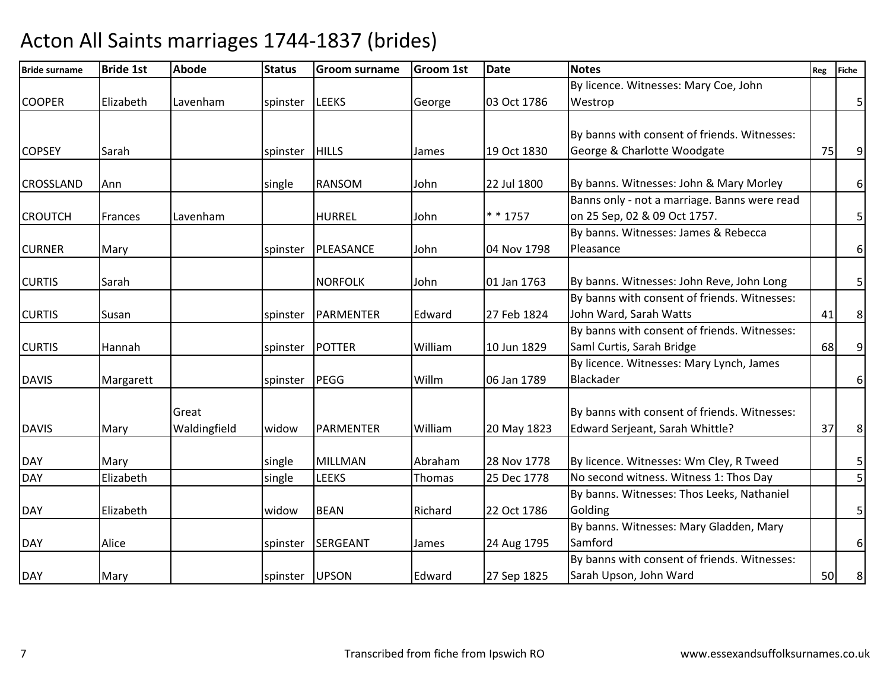| <b>Bride surname</b> | <b>Bride 1st</b> | <b>Abode</b> | <b>Status</b>  | <b>Groom surname</b> | Groom 1st | <b>Date</b> | <b>Notes</b>                                 | Reg | <b>Fiche</b>     |
|----------------------|------------------|--------------|----------------|----------------------|-----------|-------------|----------------------------------------------|-----|------------------|
|                      |                  |              |                |                      |           |             | By licence. Witnesses: Mary Coe, John        |     |                  |
| <b>COOPER</b>        | Elizabeth        | Lavenham     | spinster       | <b>LEEKS</b>         | George    | 03 Oct 1786 | Westrop                                      |     | $\overline{5}$   |
|                      |                  |              |                |                      |           |             |                                              |     |                  |
|                      |                  |              |                |                      |           |             | By banns with consent of friends. Witnesses: |     |                  |
| <b>COPSEY</b>        | Sarah            |              | spinster       | <b>HILLS</b>         | James     | 19 Oct 1830 | George & Charlotte Woodgate                  | 75  | $9\,$            |
|                      |                  |              |                |                      |           |             |                                              |     |                  |
| <b>CROSSLAND</b>     | Ann              |              | single         | <b>RANSOM</b>        | John      | 22 Jul 1800 | By banns. Witnesses: John & Mary Morley      |     | $6 \mid$         |
|                      |                  |              |                |                      |           |             | Banns only - not a marriage. Banns were read |     |                  |
| <b>CROUTCH</b>       | Frances          | Lavenham     |                | <b>HURREL</b>        | John      | $* * 1757$  | on 25 Sep, 02 & 09 Oct 1757.                 |     | $\overline{5}$   |
|                      |                  |              |                |                      |           |             | By banns. Witnesses: James & Rebecca         |     |                  |
| <b>CURNER</b>        | Mary             |              | spinster       | PLEASANCE            | John      | 04 Nov 1798 | Pleasance                                    |     | 6                |
|                      |                  |              |                |                      |           |             |                                              |     |                  |
| <b>CURTIS</b>        | Sarah            |              |                | <b>NORFOLK</b>       | John      | 01 Jan 1763 | By banns. Witnesses: John Reve, John Long    |     | 5 <sub>l</sub>   |
|                      |                  |              |                |                      |           |             | By banns with consent of friends. Witnesses: |     |                  |
| <b>CURTIS</b>        | Susan            |              | spinster       | PARMENTER            | Edward    | 27 Feb 1824 | John Ward, Sarah Watts                       | 41  | $\bf 8$          |
|                      |                  |              |                |                      |           |             | By banns with consent of friends. Witnesses: |     |                  |
| <b>CURTIS</b>        | Hannah           |              | spinster       | POTTER               | William   | 10 Jun 1829 | Saml Curtis, Sarah Bridge                    | 68  | $\boldsymbol{9}$ |
|                      |                  |              |                |                      |           |             | By licence. Witnesses: Mary Lynch, James     |     |                  |
| <b>DAVIS</b>         | Margarett        |              | spinster       | PEGG                 | Willm     | 06 Jan 1789 | Blackader                                    |     | $6 \mid$         |
|                      |                  |              |                |                      |           |             |                                              |     |                  |
|                      |                  | Great        |                |                      |           |             | By banns with consent of friends. Witnesses: |     |                  |
| <b>DAVIS</b>         | Mary             | Waldingfield | widow          | <b>PARMENTER</b>     | William   | 20 May 1823 | Edward Serjeant, Sarah Whittle?              | 37  | $\bf 8$          |
|                      |                  |              |                |                      |           |             |                                              |     |                  |
| <b>DAY</b>           | Mary             |              | single         | <b>MILLMAN</b>       | Abraham   | 28 Nov 1778 | By licence. Witnesses: Wm Cley, R Tweed      |     | $\mathsf S$      |
| <b>DAY</b>           | Elizabeth        |              | single         | <b>LEEKS</b>         | Thomas    | 25 Dec 1778 | No second witness. Witness 1: Thos Day       |     | 5                |
|                      |                  |              |                |                      |           |             | By banns. Witnesses: Thos Leeks, Nathaniel   |     |                  |
| <b>DAY</b>           | Elizabeth        |              | widow          | <b>BEAN</b>          | Richard   | 22 Oct 1786 | Golding                                      |     | 5                |
|                      |                  |              |                |                      |           |             | By banns. Witnesses: Mary Gladden, Mary      |     |                  |
| <b>DAY</b>           | Alice            |              |                | spinster SERGEANT    | James     | 24 Aug 1795 | Samford                                      |     | $6\,$            |
|                      |                  |              |                |                      |           |             | By banns with consent of friends. Witnesses: |     |                  |
| <b>DAY</b>           | Mary             |              | spinster UPSON |                      | Edward    | 27 Sep 1825 | Sarah Upson, John Ward                       | 50  | 8 <sup>°</sup>   |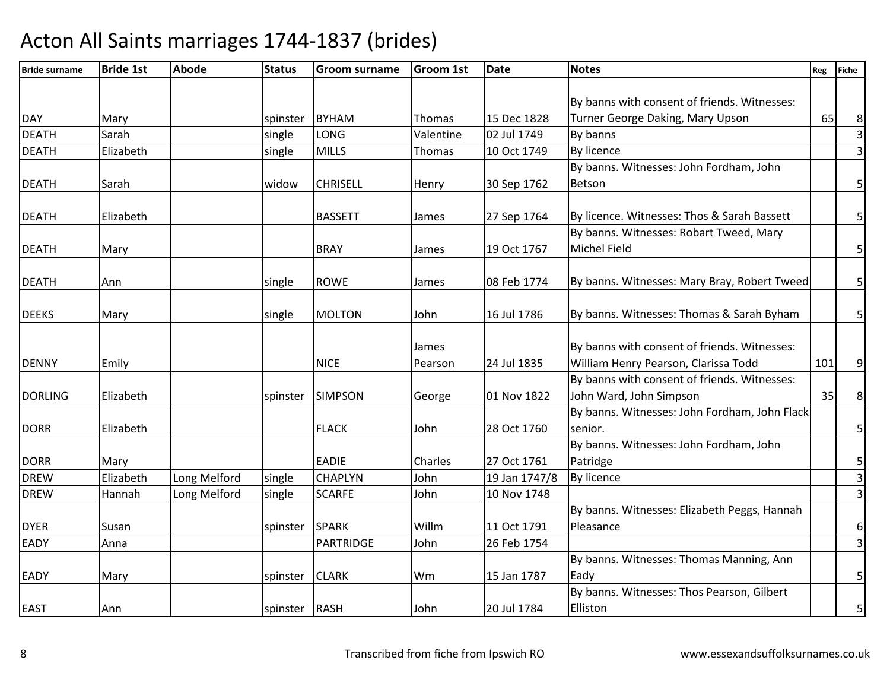| <b>Bride surname</b> | <b>Bride 1st</b> | <b>Abode</b> | <b>Status</b> | <b>Groom surname</b> | <b>Groom 1st</b> | <b>Date</b>   | <b>Notes</b>                                  | Reg | <b>Fiche</b>            |
|----------------------|------------------|--------------|---------------|----------------------|------------------|---------------|-----------------------------------------------|-----|-------------------------|
|                      |                  |              |               |                      |                  |               |                                               |     |                         |
|                      |                  |              |               |                      |                  |               | By banns with consent of friends. Witnesses:  |     |                         |
| <b>DAY</b>           | Mary             |              | spinster      | <b>BYHAM</b>         | Thomas           | 15 Dec 1828   | Turner George Daking, Mary Upson              | 65  | 8                       |
| <b>DEATH</b>         | Sarah            |              | single        | LONG                 | Valentine        | 02 Jul 1749   | By banns                                      |     | $\overline{\mathbf{3}}$ |
| <b>DEATH</b>         | Elizabeth        |              | single        | <b>MILLS</b>         | Thomas           | 10 Oct 1749   | By licence                                    |     | $\overline{3}$          |
|                      |                  |              |               |                      |                  |               | By banns. Witnesses: John Fordham, John       |     |                         |
| <b>DEATH</b>         | Sarah            |              | widow         | <b>CHRISELL</b>      | Henry            | 30 Sep 1762   | Betson                                        |     | $\mathsf S$             |
| <b>DEATH</b>         | Elizabeth        |              |               | <b>BASSETT</b>       | James            | 27 Sep 1764   | By licence. Witnesses: Thos & Sarah Bassett   |     | 5                       |
|                      |                  |              |               |                      |                  |               | By banns. Witnesses: Robart Tweed, Mary       |     |                         |
| <b>DEATH</b>         | Mary             |              |               | <b>BRAY</b>          | James            | 19 Oct 1767   | <b>Michel Field</b>                           |     | 5 <sup>1</sup>          |
| <b>DEATH</b>         | Ann              |              | single        | <b>ROWE</b>          | James            | 08 Feb 1774   | By banns. Witnesses: Mary Bray, Robert Tweed  |     | 5 <sup>1</sup>          |
|                      |                  |              |               |                      |                  |               |                                               |     |                         |
| <b>DEEKS</b>         | Mary             |              | single        | <b>MOLTON</b>        | John             | 16 Jul 1786   | By banns. Witnesses: Thomas & Sarah Byham     |     | $\overline{5}$          |
|                      |                  |              |               |                      |                  |               |                                               |     |                         |
|                      |                  |              |               |                      | James            |               | By banns with consent of friends. Witnesses:  |     |                         |
| <b>DENNY</b>         | Emily            |              |               | <b>NICE</b>          | Pearson          | 24 Jul 1835   | William Henry Pearson, Clarissa Todd          | 101 | 9 <sup>1</sup>          |
|                      |                  |              |               |                      |                  |               | By banns with consent of friends. Witnesses:  |     |                         |
| <b>DORLING</b>       | Elizabeth        |              | spinster      | <b>SIMPSON</b>       | George           | 01 Nov 1822   | John Ward, John Simpson                       | 35  | $\bf 8$                 |
|                      |                  |              |               |                      |                  |               | By banns. Witnesses: John Fordham, John Flack |     |                         |
| <b>DORR</b>          | Elizabeth        |              |               | <b>FLACK</b>         | John             | 28 Oct 1760   | senior.                                       |     | $\overline{5}$          |
|                      |                  |              |               |                      |                  |               | By banns. Witnesses: John Fordham, John       |     |                         |
| <b>DORR</b>          | Mary             |              |               | <b>EADIE</b>         | Charles          | 27 Oct 1761   | Patridge                                      |     | 5                       |
| <b>DREW</b>          | Elizabeth        | Long Melford | single        | <b>CHAPLYN</b>       | John             | 19 Jan 1747/8 | <b>By licence</b>                             |     | $\overline{\mathbf{3}}$ |
| <b>DREW</b>          | Hannah           | Long Melford | single        | <b>SCARFE</b>        | John             | 10 Nov 1748   |                                               |     | $\overline{3}$          |
|                      |                  |              |               |                      |                  |               | By banns. Witnesses: Elizabeth Peggs, Hannah  |     |                         |
| <b>DYER</b>          | Susan            |              | spinster      | <b>SPARK</b>         | Willm            | 11 Oct 1791   | Pleasance                                     |     | $\boldsymbol{6}$        |
| <b>EADY</b>          | Anna             |              |               | <b>PARTRIDGE</b>     | John             | 26 Feb 1754   |                                               |     | $\overline{3}$          |
|                      |                  |              |               |                      |                  |               | By banns. Witnesses: Thomas Manning, Ann      |     |                         |
| <b>EADY</b>          | Mary             |              | spinster      | <b>CLARK</b>         | Wm               | 15 Jan 1787   | Eady                                          |     | $\overline{5}$          |
|                      |                  |              |               |                      |                  |               | By banns. Witnesses: Thos Pearson, Gilbert    |     |                         |
| <b>EAST</b>          | Ann              |              | spinster RASH |                      | John             | 20 Jul 1784   | Elliston                                      |     | 5                       |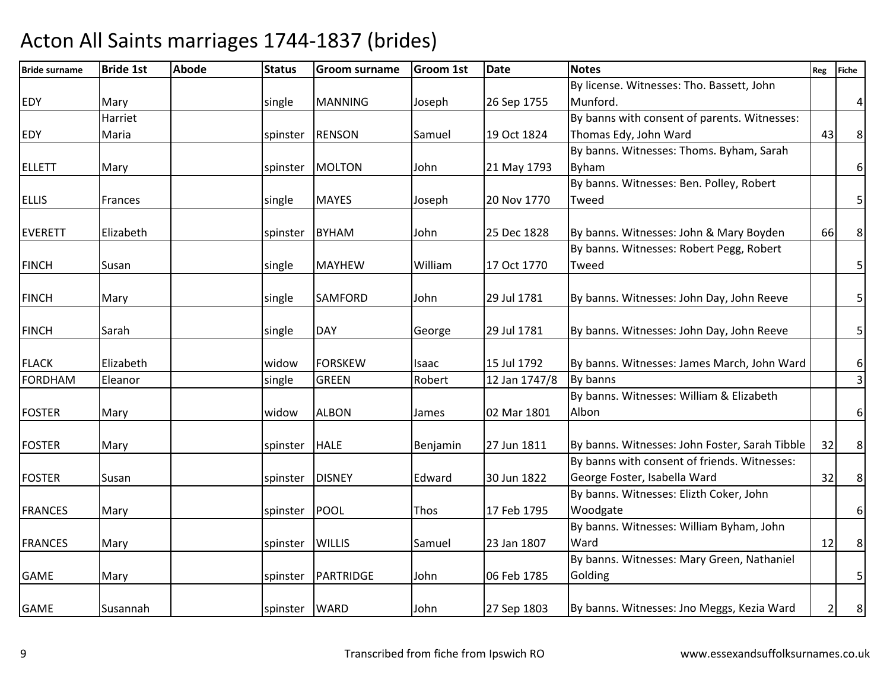| <b>Bride surname</b> | <b>Bride 1st</b> | Abode | <b>Status</b>     | <b>Groom surname</b> | <b>Groom 1st</b> | Date          | <b>Notes</b>                                   | Reg            | <b>Fiche</b>            |
|----------------------|------------------|-------|-------------------|----------------------|------------------|---------------|------------------------------------------------|----------------|-------------------------|
|                      |                  |       |                   |                      |                  |               | By license. Witnesses: Tho. Bassett, John      |                |                         |
| <b>EDY</b>           | Mary             |       | single            | <b>MANNING</b>       | Joseph           | 26 Sep 1755   | Munford.                                       |                | $\vert$                 |
|                      | Harriet          |       |                   |                      |                  |               | By banns with consent of parents. Witnesses:   |                |                         |
| <b>EDY</b>           | Maria            |       |                   | spinster RENSON      | Samuel           | 19 Oct 1824   | Thomas Edy, John Ward                          | 43             | 8 <sup>1</sup>          |
|                      |                  |       |                   |                      |                  |               | By banns. Witnesses: Thoms. Byham, Sarah       |                |                         |
| <b>ELLETT</b>        | Mary             |       | spinster          | <b>MOLTON</b>        | John             | 21 May 1793   | <b>Byham</b>                                   |                | 6 <sup>1</sup>          |
|                      |                  |       |                   |                      |                  |               | By banns. Witnesses: Ben. Polley, Robert       |                |                         |
| <b>ELLIS</b>         | Frances          |       | single            | <b>MAYES</b>         | Joseph           | 20 Nov 1770   | Tweed                                          |                | $\overline{\mathbf{5}}$ |
| <b>EVERETT</b>       | Elizabeth        |       | spinster          | <b>BYHAM</b>         | John             | 25 Dec 1828   | By banns. Witnesses: John & Mary Boyden        | 66             | $\,8\,$                 |
|                      |                  |       |                   |                      |                  |               | By banns. Witnesses: Robert Pegg, Robert       |                |                         |
| <b>FINCH</b>         | Susan            |       | single            | <b>MAYHEW</b>        | William          | 17 Oct 1770   | Tweed                                          |                | $\overline{5}$          |
|                      |                  |       |                   |                      |                  |               |                                                |                |                         |
| <b>FINCH</b>         | Mary             |       | single            | <b>SAMFORD</b>       | John             | 29 Jul 1781   | By banns. Witnesses: John Day, John Reeve      |                | 5 <sup>1</sup>          |
| <b>FINCH</b>         | Sarah            |       | single            | <b>DAY</b>           | George           | 29 Jul 1781   | By banns. Witnesses: John Day, John Reeve      |                | 5 <sup>1</sup>          |
|                      |                  |       |                   |                      |                  |               |                                                |                |                         |
| <b>FLACK</b>         | Elizabeth        |       | widow             | <b>FORSKEW</b>       | Isaac            | 15 Jul 1792   | By banns. Witnesses: James March, John Ward    |                | $6 \mid$                |
| <b>FORDHAM</b>       | Eleanor          |       | single            | <b>GREEN</b>         | Robert           | 12 Jan 1747/8 | By banns                                       |                | $\overline{3}$          |
|                      |                  |       |                   |                      |                  |               | By banns. Witnesses: William & Elizabeth       |                |                         |
| <b>FOSTER</b>        | Mary             |       | widow             | <b>ALBON</b>         | James            | 02 Mar 1801   | Albon                                          |                | $6 \mid$                |
| <b>FOSTER</b>        | Mary             |       | spinster          | <b>HALE</b>          | Benjamin         | 27 Jun 1811   | By banns. Witnesses: John Foster, Sarah Tibble | 32             | 8                       |
|                      |                  |       |                   |                      |                  |               | By banns with consent of friends. Witnesses:   |                |                         |
| <b>FOSTER</b>        | Susan            |       | spinster          | <b>DISNEY</b>        | Edward           | 30 Jun 1822   | George Foster, Isabella Ward                   | 32             | $\bf 8$                 |
|                      |                  |       |                   |                      |                  |               | By banns. Witnesses: Elizth Coker, John        |                |                         |
| <b>FRANCES</b>       | Mary             |       | spinster          | POOL                 | Thos             | 17 Feb 1795   | Woodgate                                       |                | $6 \mid$                |
|                      |                  |       |                   |                      |                  |               | By banns. Witnesses: William Byham, John       |                |                         |
| <b>FRANCES</b>       | Mary             |       | spinster   WILLIS |                      | Samuel           | 23 Jan 1807   | Ward                                           | 12             | $\bf 8$                 |
|                      |                  |       |                   |                      |                  |               | By banns. Witnesses: Mary Green, Nathaniel     |                |                         |
| <b>GAME</b>          | Mary             |       | spinster          | PARTRIDGE            | John             | 06 Feb 1785   | Golding                                        |                | 5 <sup>1</sup>          |
|                      |                  |       |                   |                      |                  |               |                                                |                |                         |
| <b>GAME</b>          | Susannah         |       | spinster WARD     |                      | John             | 27 Sep 1803   | By banns. Witnesses: Jno Meggs, Kezia Ward     | $\overline{2}$ | 8 <sup>8</sup>          |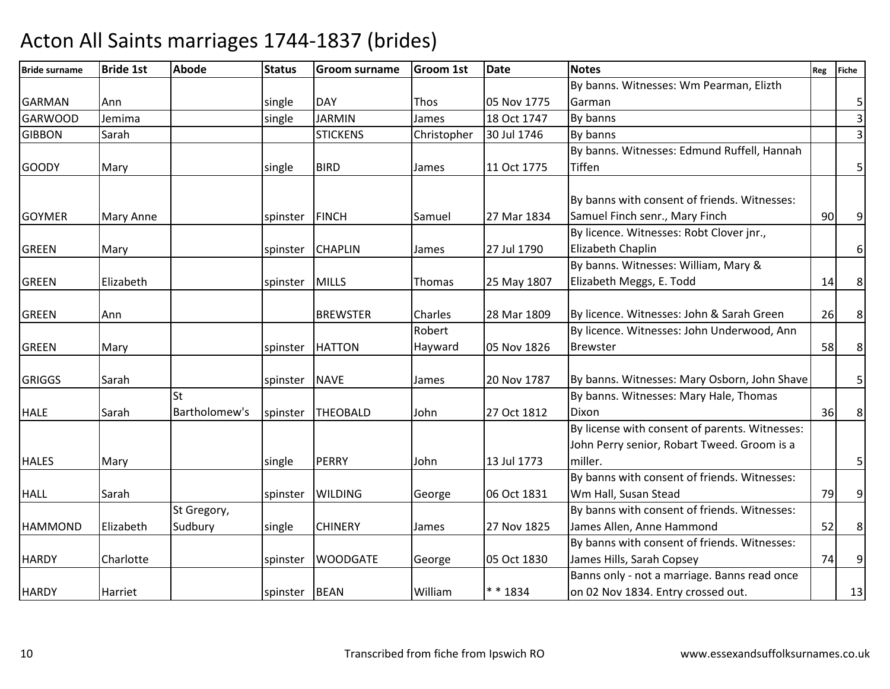| <b>Bride surname</b> | <b>Bride 1st</b> | <b>Abode</b>  | <b>Status</b> | <b>Groom surname</b> | <b>Groom 1st</b> | <b>Date</b> | <b>Notes</b>                                   | Reg | <b>Fiche</b>     |
|----------------------|------------------|---------------|---------------|----------------------|------------------|-------------|------------------------------------------------|-----|------------------|
|                      |                  |               |               |                      |                  |             | By banns. Witnesses: Wm Pearman, Elizth        |     |                  |
| <b>GARMAN</b>        | Ann              |               | single        | <b>DAY</b>           | <b>Thos</b>      | 05 Nov 1775 | Garman                                         |     | $\mathsf S$      |
| <b>GARWOOD</b>       | Jemima           |               | single        | <b>JARMIN</b>        | James            | 18 Oct 1747 | By banns                                       |     | $\overline{3}$   |
| <b>GIBBON</b>        | Sarah            |               |               | <b>STICKENS</b>      | Christopher      | 30 Jul 1746 | By banns                                       |     | $\overline{3}$   |
|                      |                  |               |               |                      |                  |             | By banns. Witnesses: Edmund Ruffell, Hannah    |     |                  |
| <b>GOODY</b>         | Mary             |               | single        | <b>BIRD</b>          | James            | 11 Oct 1775 | Tiffen                                         |     | 5                |
|                      |                  |               |               |                      |                  |             |                                                |     |                  |
|                      |                  |               |               |                      |                  |             | By banns with consent of friends. Witnesses:   |     |                  |
| <b>GOYMER</b>        | Mary Anne        |               | spinster      | FINCH                | Samuel           | 27 Mar 1834 | Samuel Finch senr., Mary Finch                 | 90  | $\overline{9}$   |
|                      |                  |               |               |                      |                  |             | By licence. Witnesses: Robt Clover jnr.,       |     |                  |
| <b>GREEN</b>         | Mary             |               | spinster      | <b>CHAPLIN</b>       | James            | 27 Jul 1790 | Elizabeth Chaplin                              |     | $\boldsymbol{6}$ |
|                      |                  |               |               |                      |                  |             | By banns. Witnesses: William, Mary &           |     |                  |
| <b>GREEN</b>         | Elizabeth        |               | spinster      | <b>MILLS</b>         | Thomas           | 25 May 1807 | Elizabeth Meggs, E. Todd                       | 14  | $\bf 8$          |
|                      |                  |               |               |                      |                  |             |                                                |     |                  |
| <b>GREEN</b>         | Ann              |               |               | <b>BREWSTER</b>      | Charles          | 28 Mar 1809 | By licence. Witnesses: John & Sarah Green      | 26  | 8                |
|                      |                  |               |               |                      | Robert           |             | By licence. Witnesses: John Underwood, Ann     |     |                  |
| <b>GREEN</b>         | Mary             |               | spinster      | <b>HATTON</b>        | Hayward          | 05 Nov 1826 | <b>Brewster</b>                                | 58  | 8 <sup>1</sup>   |
|                      |                  |               |               |                      |                  |             |                                                |     |                  |
| <b>GRIGGS</b>        | Sarah            |               | spinster      | <b>NAVE</b>          | James            | 20 Nov 1787 | By banns. Witnesses: Mary Osborn, John Shave   |     | 5                |
|                      |                  | St            |               |                      |                  |             | By banns. Witnesses: Mary Hale, Thomas         |     |                  |
| <b>HALE</b>          | Sarah            | Bartholomew's | spinster      | <b>THEOBALD</b>      | John             | 27 Oct 1812 | Dixon                                          | 36  | $\,8\,$          |
|                      |                  |               |               |                      |                  |             | By license with consent of parents. Witnesses: |     |                  |
|                      |                  |               |               |                      |                  |             | John Perry senior, Robart Tweed. Groom is a    |     |                  |
| <b>HALES</b>         | Mary             |               | single        | <b>PERRY</b>         | John             | 13 Jul 1773 | miller.                                        |     | 5                |
|                      |                  |               |               |                      |                  |             | By banns with consent of friends. Witnesses:   |     |                  |
| <b>HALL</b>          | Sarah            |               | spinster      | <b>WILDING</b>       | George           | 06 Oct 1831 | Wm Hall, Susan Stead                           | 79  | $\boldsymbol{9}$ |
|                      |                  | St Gregory,   |               |                      |                  |             | By banns with consent of friends. Witnesses:   |     |                  |
| <b>HAMMOND</b>       | Elizabeth        | Sudbury       | single        | <b>CHINERY</b>       | James            | 27 Nov 1825 | James Allen, Anne Hammond                      | 52  | 8                |
|                      |                  |               |               |                      |                  |             | By banns with consent of friends. Witnesses:   |     |                  |
| <b>HARDY</b>         | Charlotte        |               | spinster      | <b>WOODGATE</b>      | George           | 05 Oct 1830 | James Hills, Sarah Copsey                      | 74  | $9\,$            |
|                      |                  |               |               |                      |                  |             | Banns only - not a marriage. Banns read once   |     |                  |
| <b>HARDY</b>         | Harriet          |               | spinster BEAN |                      | William          | * * 1834    | on 02 Nov 1834. Entry crossed out.             |     | 13               |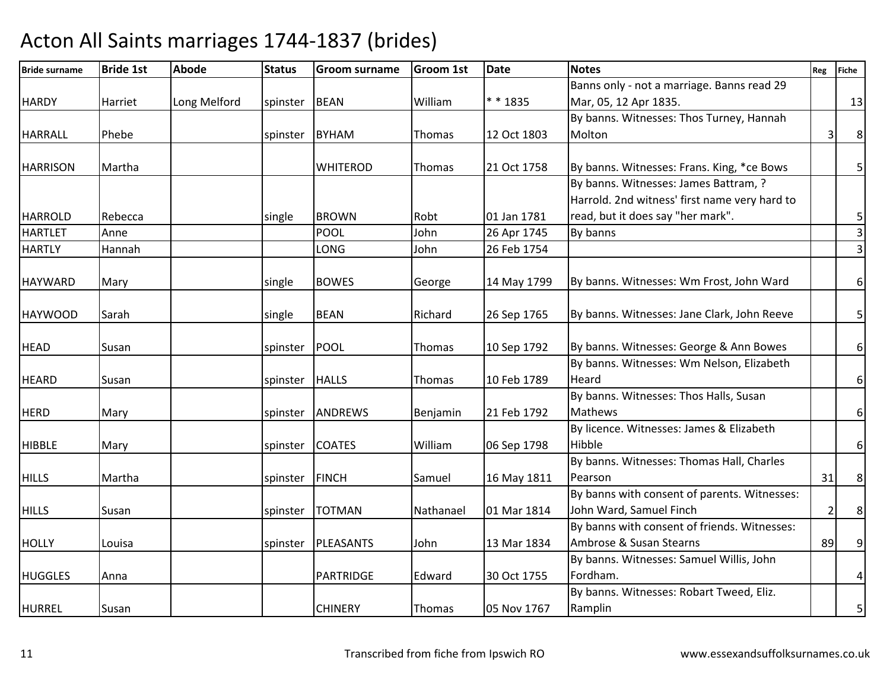| <b>Bride surname</b> | <b>Bride 1st</b> | <b>Abode</b> | <b>Status</b>  | <b>Groom surname</b> | <b>Groom 1st</b> | <b>Date</b> | <b>Notes</b>                                  | Reg | <b>Fiche</b>          |
|----------------------|------------------|--------------|----------------|----------------------|------------------|-------------|-----------------------------------------------|-----|-----------------------|
|                      |                  |              |                |                      |                  |             | Banns only - not a marriage. Banns read 29    |     |                       |
| <b>HARDY</b>         | Harriet          | Long Melford | spinster       | <b>BEAN</b>          | William          | * * 1835    | Mar, 05, 12 Apr 1835.                         |     | 13                    |
|                      |                  |              |                |                      |                  |             | By banns. Witnesses: Thos Turney, Hannah      |     |                       |
| <b>HARRALL</b>       | Phebe            |              | spinster BYHAM |                      | Thomas           | 12 Oct 1803 | Molton                                        | 3   | $\bf 8$               |
|                      |                  |              |                |                      |                  |             |                                               |     |                       |
| <b>HARRISON</b>      | Martha           |              |                | <b>WHITEROD</b>      | Thomas           | 21 Oct 1758 | By banns. Witnesses: Frans. King, *ce Bows    |     | 5 <sup>1</sup>        |
|                      |                  |              |                |                      |                  |             | By banns. Witnesses: James Battram, ?         |     |                       |
|                      |                  |              |                |                      |                  |             | Harrold. 2nd witness' first name very hard to |     |                       |
| <b>HARROLD</b>       | Rebecca          |              | single         | <b>BROWN</b>         | Robt             | 01 Jan 1781 | read, but it does say "her mark".             |     | 5                     |
| <b>HARTLET</b>       | Anne             |              |                | <b>POOL</b>          | John             | 26 Apr 1745 | By banns                                      |     | $\overline{3}$        |
| <b>HARTLY</b>        | Hannah           |              |                | LONG                 | John             | 26 Feb 1754 |                                               |     | $\boldsymbol{\omega}$ |
|                      |                  |              |                |                      |                  |             |                                               |     |                       |
| <b>HAYWARD</b>       | Mary             |              | single         | <b>BOWES</b>         | George           | 14 May 1799 | By banns. Witnesses: Wm Frost, John Ward      |     | $6\vert$              |
|                      |                  |              |                |                      |                  |             |                                               |     |                       |
| <b>HAYWOOD</b>       | Sarah            |              | single         | <b>BEAN</b>          | Richard          | 26 Sep 1765 | By banns. Witnesses: Jane Clark, John Reeve   |     | 5                     |
| <b>HEAD</b>          | Susan            |              | spinster       | POOL                 | Thomas           | 10 Sep 1792 | By banns. Witnesses: George & Ann Bowes       |     | $\boldsymbol{6}$      |
|                      |                  |              |                |                      |                  |             | By banns. Witnesses: Wm Nelson, Elizabeth     |     |                       |
| <b>HEARD</b>         | Susan            |              | spinster HALLS |                      | Thomas           | 10 Feb 1789 | Heard                                         |     | $\boldsymbol{6}$      |
|                      |                  |              |                |                      |                  |             | By banns. Witnesses: Thos Halls, Susan        |     |                       |
| <b>HERD</b>          | Mary             |              | spinster       | <b>ANDREWS</b>       | Benjamin         | 21 Feb 1792 | Mathews                                       |     | $\sqrt{6}$            |
|                      |                  |              |                |                      |                  |             | By licence. Witnesses: James & Elizabeth      |     |                       |
| <b>HIBBLE</b>        | Mary             |              | spinster       | <b>COATES</b>        | William          | 06 Sep 1798 | Hibble                                        |     | $6\vert$              |
|                      |                  |              |                |                      |                  |             | By banns. Witnesses: Thomas Hall, Charles     |     |                       |
| <b>HILLS</b>         | Martha           |              | spinster       | <b>FINCH</b>         | Samuel           | 16 May 1811 | Pearson                                       | 31  | $\,8\,$               |
|                      |                  |              |                |                      |                  |             | By banns with consent of parents. Witnesses:  |     |                       |
| <b>HILLS</b>         | Susan            |              | spinster       | <b>TOTMAN</b>        | Nathanael        | 01 Mar 1814 | John Ward, Samuel Finch                       | 2   | $\bf 8$               |
|                      |                  |              |                |                      |                  |             | By banns with consent of friends. Witnesses:  |     |                       |
| <b>HOLLY</b>         | Louisa           |              |                | spinster   PLEASANTS | John             | 13 Mar 1834 | Ambrose & Susan Stearns                       | 89  | 9 <sup>1</sup>        |
|                      |                  |              |                |                      |                  |             | By banns. Witnesses: Samuel Willis, John      |     |                       |
| <b>HUGGLES</b>       | Anna             |              |                | <b>PARTRIDGE</b>     | Edward           | 30 Oct 1755 | Fordham.                                      |     | $\overline{a}$        |
|                      |                  |              |                |                      |                  |             | By banns. Witnesses: Robart Tweed, Eliz.      |     |                       |
| <b>HURREL</b>        | Susan            |              |                | <b>CHINERY</b>       | Thomas           | 05 Nov 1767 | Ramplin                                       |     | 5                     |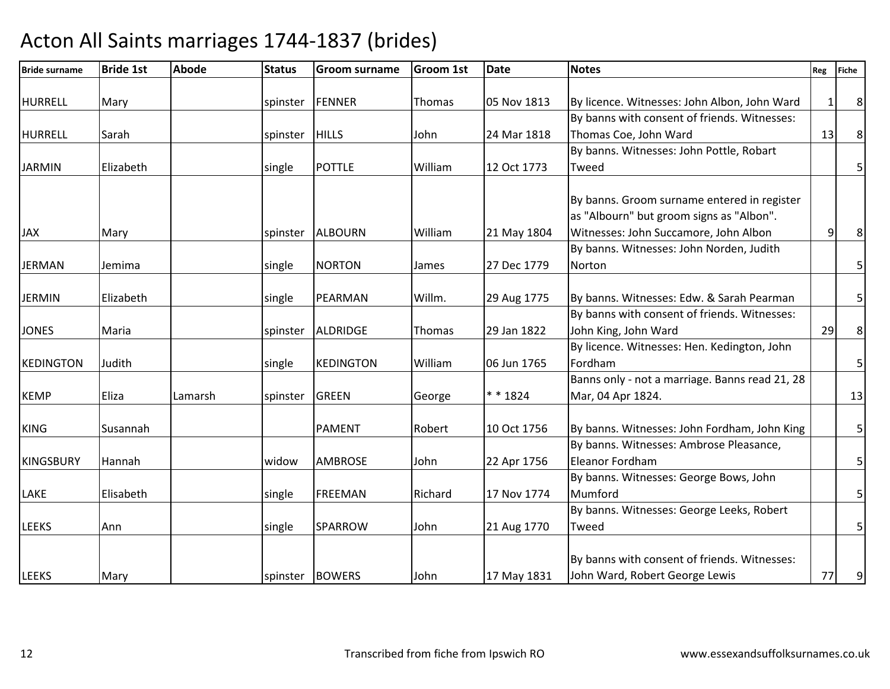|                                                                                         | Reg                                                                                                                                                                                                                                                                                                                                        | <b>Fiche</b>   |
|-----------------------------------------------------------------------------------------|--------------------------------------------------------------------------------------------------------------------------------------------------------------------------------------------------------------------------------------------------------------------------------------------------------------------------------------------|----------------|
|                                                                                         | $\mathbf{1}$                                                                                                                                                                                                                                                                                                                               | 8              |
|                                                                                         |                                                                                                                                                                                                                                                                                                                                            |                |
| Thomas Coe, John Ward                                                                   | 13                                                                                                                                                                                                                                                                                                                                         | $\bf 8$        |
| By banns. Witnesses: John Pottle, Robart                                                |                                                                                                                                                                                                                                                                                                                                            |                |
|                                                                                         |                                                                                                                                                                                                                                                                                                                                            | 5 <sup>1</sup> |
| By banns. Groom surname entered in register<br>as "Albourn" but groom signs as "Albon". |                                                                                                                                                                                                                                                                                                                                            |                |
|                                                                                         |                                                                                                                                                                                                                                                                                                                                            | $\bf 8$        |
|                                                                                         |                                                                                                                                                                                                                                                                                                                                            | $\overline{5}$ |
|                                                                                         |                                                                                                                                                                                                                                                                                                                                            |                |
| By banns. Witnesses: Edw. & Sarah Pearman                                               |                                                                                                                                                                                                                                                                                                                                            | 5              |
| By banns with consent of friends. Witnesses:                                            |                                                                                                                                                                                                                                                                                                                                            |                |
| John King, John Ward                                                                    | 29                                                                                                                                                                                                                                                                                                                                         | $\bf 8$        |
| By licence. Witnesses: Hen. Kedington, John                                             |                                                                                                                                                                                                                                                                                                                                            |                |
|                                                                                         |                                                                                                                                                                                                                                                                                                                                            | $\overline{5}$ |
|                                                                                         |                                                                                                                                                                                                                                                                                                                                            | 13             |
|                                                                                         |                                                                                                                                                                                                                                                                                                                                            |                |
| By banns. Witnesses: John Fordham, John King                                            |                                                                                                                                                                                                                                                                                                                                            | 5              |
| By banns. Witnesses: Ambrose Pleasance,                                                 |                                                                                                                                                                                                                                                                                                                                            |                |
| Eleanor Fordham                                                                         |                                                                                                                                                                                                                                                                                                                                            | $\overline{5}$ |
| By banns. Witnesses: George Bows, John                                                  |                                                                                                                                                                                                                                                                                                                                            |                |
|                                                                                         |                                                                                                                                                                                                                                                                                                                                            | $\mathsf S$    |
| By banns. Witnesses: George Leeks, Robert                                               |                                                                                                                                                                                                                                                                                                                                            |                |
|                                                                                         |                                                                                                                                                                                                                                                                                                                                            | 5 <sub>l</sub> |
|                                                                                         |                                                                                                                                                                                                                                                                                                                                            |                |
|                                                                                         |                                                                                                                                                                                                                                                                                                                                            | 9 <sub>l</sub> |
|                                                                                         | By licence. Witnesses: John Albon, John Ward<br>By banns with consent of friends. Witnesses:<br>Witnesses: John Succamore, John Albon<br>By banns. Witnesses: John Norden, Judith<br>Banns only - not a marriage. Banns read 21, 28<br>Mar, 04 Apr 1824.<br>By banns with consent of friends. Witnesses:<br>John Ward, Robert George Lewis | 9<br>77        |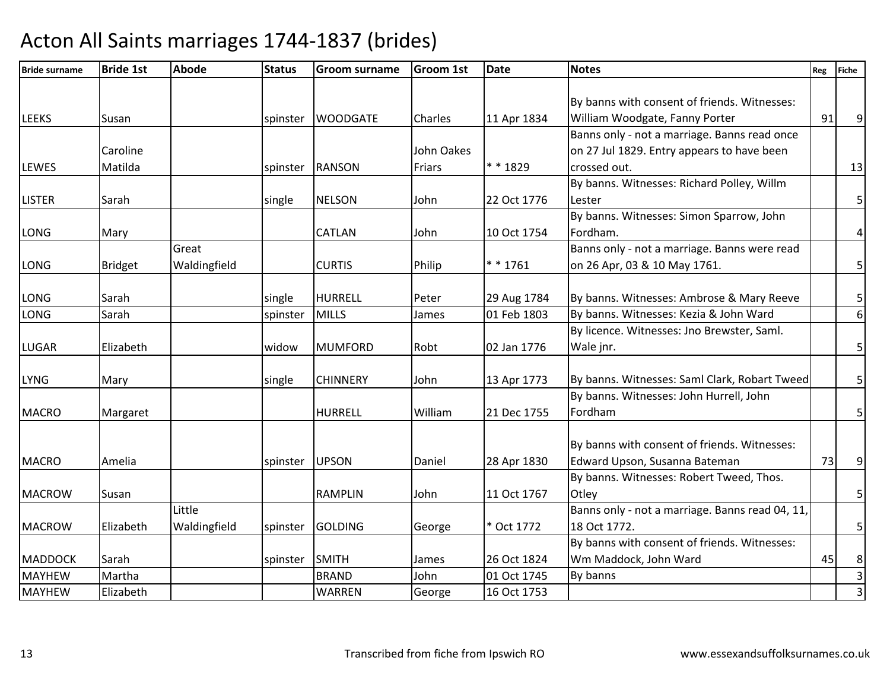| <b>Bride surname</b> | <b>Bride 1st</b> | <b>Abode</b> | <b>Status</b> | <b>Groom surname</b> | <b>Groom 1st</b>  | <b>Date</b> | <b>Notes</b>                                    | Reg | <b>Fiche</b>            |
|----------------------|------------------|--------------|---------------|----------------------|-------------------|-------------|-------------------------------------------------|-----|-------------------------|
|                      |                  |              |               |                      |                   |             |                                                 |     |                         |
|                      |                  |              |               |                      |                   |             | By banns with consent of friends. Witnesses:    |     |                         |
| <b>LEEKS</b>         | Susan            |              | spinster      | <b>WOODGATE</b>      | <b>Charles</b>    | 11 Apr 1834 | William Woodgate, Fanny Porter                  | 91  | $\overline{9}$          |
|                      |                  |              |               |                      |                   |             | Banns only - not a marriage. Banns read once    |     |                         |
|                      | Caroline         |              |               |                      | <b>John Oakes</b> |             | on 27 Jul 1829. Entry appears to have been      |     |                         |
| <b>LEWES</b>         | Matilda          |              | spinster      | <b>RANSON</b>        | Friars            | * * 1829    | crossed out.                                    |     | 13                      |
|                      |                  |              |               |                      |                   |             | By banns. Witnesses: Richard Polley, Willm      |     |                         |
| <b>LISTER</b>        | Sarah            |              | single        | <b>NELSON</b>        | John              | 22 Oct 1776 | Lester                                          |     | $\mathsf S$             |
|                      |                  |              |               |                      |                   |             | By banns. Witnesses: Simon Sparrow, John        |     |                         |
| LONG                 | Mary             |              |               | <b>CATLAN</b>        | John              | 10 Oct 1754 | Fordham.                                        |     | $\overline{a}$          |
|                      |                  | Great        |               |                      |                   |             | Banns only - not a marriage. Banns were read    |     |                         |
| LONG                 | <b>Bridget</b>   | Waldingfield |               | <b>CURTIS</b>        | Philip            | $* * 1761$  | on 26 Apr, 03 & 10 May 1761.                    |     | $\overline{5}$          |
|                      |                  |              |               |                      |                   |             |                                                 |     |                         |
| LONG                 | Sarah            |              | single        | <b>HURRELL</b>       | Peter             | 29 Aug 1784 | By banns. Witnesses: Ambrose & Mary Reeve       |     | 5                       |
| LONG                 | Sarah            |              | spinster      | <b>MILLS</b>         | James             | 01 Feb 1803 | By banns. Witnesses: Kezia & John Ward          |     | $\boldsymbol{6}$        |
|                      |                  |              |               |                      |                   |             | By licence. Witnesses: Jno Brewster, Saml.      |     |                         |
| <b>LUGAR</b>         | Elizabeth        |              | widow         | <b>MUMFORD</b>       | Robt              | 02 Jan 1776 | Wale jnr.                                       |     | $\overline{5}$          |
|                      |                  |              |               |                      |                   |             |                                                 |     |                         |
| <b>LYNG</b>          | Mary             |              | single        | <b>CHINNERY</b>      | John              | 13 Apr 1773 | By banns. Witnesses: Saml Clark, Robart Tweed   |     | 5                       |
|                      |                  |              |               |                      |                   |             | By banns. Witnesses: John Hurrell, John         |     |                         |
| <b>MACRO</b>         | Margaret         |              |               | <b>HURRELL</b>       | William           | 21 Dec 1755 | Fordham                                         |     | 5                       |
|                      |                  |              |               |                      |                   |             | By banns with consent of friends. Witnesses:    |     |                         |
| <b>MACRO</b>         | Amelia           |              | spinster      | <b>UPSON</b>         | Daniel            | 28 Apr 1830 | Edward Upson, Susanna Bateman                   | 73  | 9                       |
|                      |                  |              |               |                      |                   |             | By banns. Witnesses: Robert Tweed, Thos.        |     |                         |
| <b>MACROW</b>        | Susan            |              |               | <b>RAMPLIN</b>       | John              | 11 Oct 1767 | Otley                                           |     | 5                       |
|                      |                  | Little       |               |                      |                   |             | Banns only - not a marriage. Banns read 04, 11, |     |                         |
| <b>MACROW</b>        | Elizabeth        | Waldingfield | spinster      | <b>GOLDING</b>       | George            | * Oct 1772  | 18 Oct 1772.                                    |     | $\overline{\mathbf{5}}$ |
|                      |                  |              |               |                      |                   |             | By banns with consent of friends. Witnesses:    |     |                         |
| <b>MADDOCK</b>       | Sarah            |              | spinster      | <b>SMITH</b>         | James             | 26 Oct 1824 | Wm Maddock, John Ward                           | 45  | 8                       |
| <b>MAYHEW</b>        | Martha           |              |               | <b>BRAND</b>         | John              | 01 Oct 1745 | By banns                                        |     | $\overline{\mathsf{B}}$ |
| <b>MAYHEW</b>        | Elizabeth        |              |               | <b>WARREN</b>        |                   | 16 Oct 1753 |                                                 |     | $\overline{3}$          |
|                      |                  |              |               |                      | George            |             |                                                 |     |                         |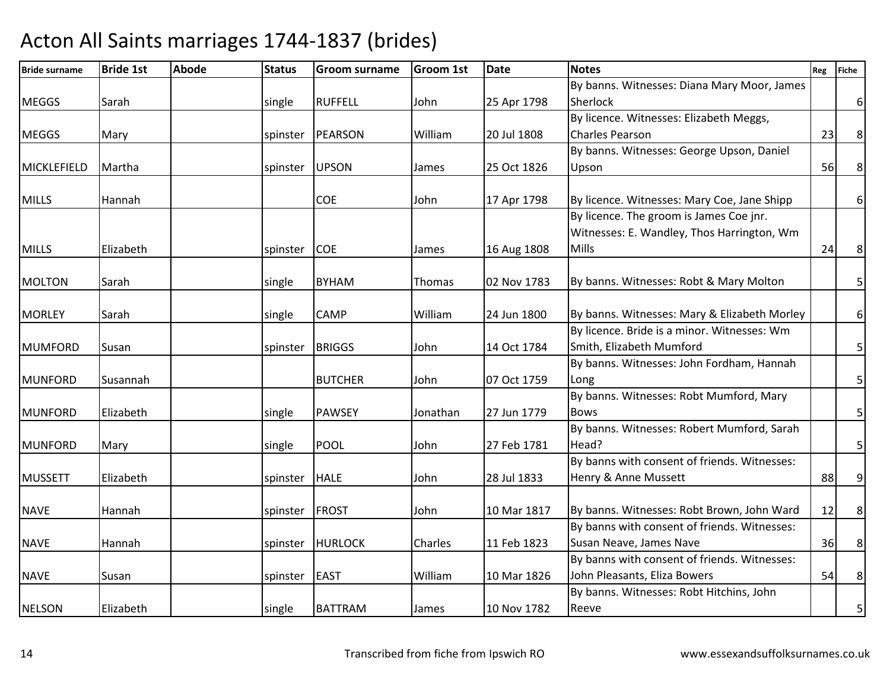| <b>Bride surname</b> | <b>Bride 1st</b> | <b>Abode</b> | <b>Status</b> | <b>Groom surname</b> | <b>Groom 1st</b> | <b>Date</b> | <b>Notes</b>                                                                                | Reg | <b>Fiche</b>            |
|----------------------|------------------|--------------|---------------|----------------------|------------------|-------------|---------------------------------------------------------------------------------------------|-----|-------------------------|
|                      |                  |              |               |                      |                  |             | By banns. Witnesses: Diana Mary Moor, James                                                 |     |                         |
| <b>MEGGS</b>         | Sarah            |              | single        | <b>RUFFELL</b>       | John             | 25 Apr 1798 | Sherlock                                                                                    |     | $6 \mid$                |
|                      |                  |              |               |                      |                  |             | By licence. Witnesses: Elizabeth Meggs,                                                     |     |                         |
| <b>MEGGS</b>         | Mary             |              |               | spinster   PEARSON   | William          | 20 Jul 1808 | <b>Charles Pearson</b>                                                                      | 23  | $\bf 8$                 |
|                      |                  |              |               |                      |                  |             | By banns. Witnesses: George Upson, Daniel                                                   |     |                         |
| MICKLEFIELD          | Martha           |              | spinster      | <b>UPSON</b>         | James            | 25 Oct 1826 | Upson                                                                                       | 56  | $\bf 8$                 |
| <b>MILLS</b>         | Hannah           |              |               | <b>COE</b>           | John             | 17 Apr 1798 | By licence. Witnesses: Mary Coe, Jane Shipp                                                 |     | 6 <sup>1</sup>          |
|                      |                  |              |               |                      |                  |             | By licence. The groom is James Coe jnr.                                                     |     |                         |
|                      |                  |              |               |                      |                  |             | Witnesses: E. Wandley, Thos Harrington, Wm                                                  |     |                         |
| <b>MILLS</b>         | Elizabeth        |              | spinster      | <b>COE</b>           | James            | 16 Aug 1808 | Mills                                                                                       | 24  | $\bf 8$                 |
| <b>MOLTON</b>        | Sarah            |              | single        | <b>BYHAM</b>         | Thomas           | 02 Nov 1783 | By banns. Witnesses: Robt & Mary Molton                                                     |     | $\overline{\mathbf{5}}$ |
|                      |                  |              |               |                      |                  |             |                                                                                             |     |                         |
| <b>MORLEY</b>        | Sarah            |              | single        | <b>CAMP</b>          | William          | 24 Jun 1800 | By banns. Witnesses: Mary & Elizabeth Morley<br>By licence. Bride is a minor. Witnesses: Wm |     | $6 \mid$                |
|                      |                  |              |               |                      |                  |             |                                                                                             |     |                         |
| <b>MUMFORD</b>       | Susan            |              | spinster      | <b>BRIGGS</b>        | John             | 14 Oct 1784 | Smith, Elizabeth Mumford<br>By banns. Witnesses: John Fordham, Hannah                       |     | $\overline{\mathbf{5}}$ |
| <b>MUNFORD</b>       | Susannah         |              |               | <b>BUTCHER</b>       | John             | 07 Oct 1759 | Long                                                                                        |     | $\mathsf S$             |
|                      |                  |              |               |                      |                  |             | By banns. Witnesses: Robt Mumford, Mary                                                     |     |                         |
| <b>MUNFORD</b>       | Elizabeth        |              | single        | <b>PAWSEY</b>        | Jonathan         | 27 Jun 1779 | <b>Bows</b>                                                                                 |     | 5 <sup>1</sup>          |
|                      |                  |              |               |                      |                  |             | By banns. Witnesses: Robert Mumford, Sarah                                                  |     |                         |
| <b>MUNFORD</b>       | Mary             |              | single        | <b>POOL</b>          | John             | 27 Feb 1781 | Head?                                                                                       |     | 5                       |
|                      |                  |              |               |                      |                  |             | By banns with consent of friends. Witnesses:                                                |     |                         |
| <b>MUSSETT</b>       | Elizabeth        |              | spinster      | <b>HALE</b>          | John             | 28 Jul 1833 | Henry & Anne Mussett                                                                        | 88  | $\overline{9}$          |
|                      |                  |              |               |                      |                  |             |                                                                                             |     |                         |
| <b>NAVE</b>          | Hannah           |              | spinster      | <b>FROST</b>         | John             | 10 Mar 1817 | By banns. Witnesses: Robt Brown, John Ward                                                  | 12  | 8 <sup>1</sup>          |
|                      |                  |              |               |                      |                  |             | By banns with consent of friends. Witnesses:                                                |     |                         |
| <b>NAVE</b>          | Hannah           |              |               | spinster HURLOCK     | Charles          | 11 Feb 1823 | Susan Neave, James Nave                                                                     | 36  | 8                       |
|                      |                  |              |               |                      |                  |             | By banns with consent of friends. Witnesses:                                                |     |                         |
| <b>NAVE</b>          | Susan            |              | spinster      | <b>EAST</b>          | William          | 10 Mar 1826 | John Pleasants, Eliza Bowers                                                                | 54  | $\bf 8$                 |
|                      |                  |              |               |                      |                  |             | By banns. Witnesses: Robt Hitchins, John                                                    |     |                         |
| <b>NELSON</b>        | Elizabeth        |              | single        | <b>BATTRAM</b>       | James            | 10 Nov 1782 | Reeve                                                                                       |     | $\overline{5}$          |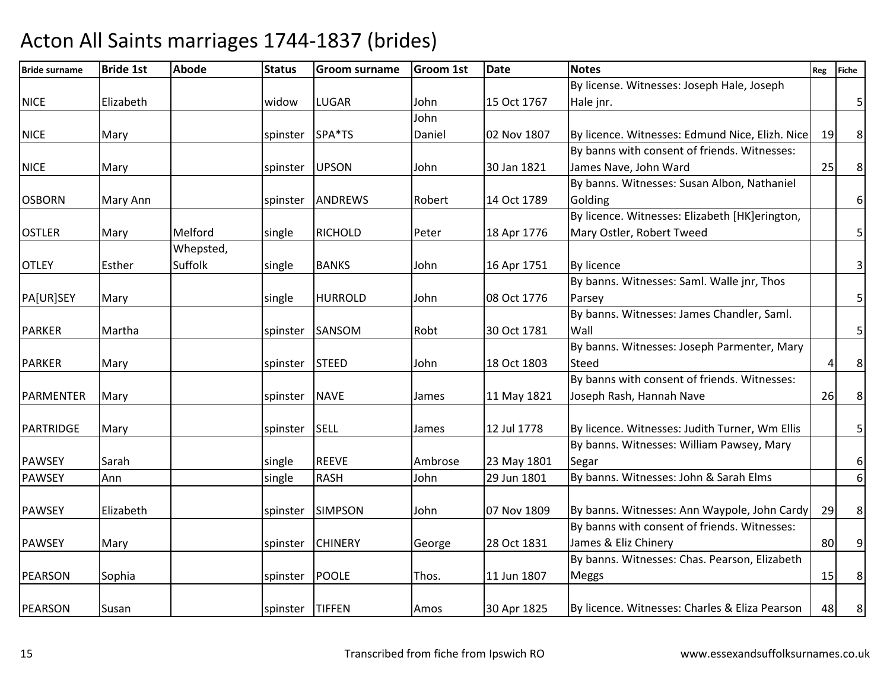| <b>Bride surname</b> | <b>Bride 1st</b> | <b>Abode</b> | <b>Status</b>   | <b>Groom surname</b> | <b>Groom 1st</b> | <b>Date</b> | <b>Notes</b>                                    | Reg | <b>Fiche</b>            |
|----------------------|------------------|--------------|-----------------|----------------------|------------------|-------------|-------------------------------------------------|-----|-------------------------|
|                      |                  |              |                 |                      |                  |             | By license. Witnesses: Joseph Hale, Joseph      |     |                         |
| <b>NICE</b>          | Elizabeth        |              | widow           | <b>LUGAR</b>         | John             | 15 Oct 1767 | Hale jnr.                                       |     | $\overline{5}$          |
|                      |                  |              |                 |                      | John             |             |                                                 |     |                         |
| <b>NICE</b>          | Mary             |              | spinster SPA*TS |                      | Daniel           | 02 Nov 1807 | By licence. Witnesses: Edmund Nice, Elizh. Nice | 19  | $\,8\,$                 |
|                      |                  |              |                 |                      |                  |             | By banns with consent of friends. Witnesses:    |     |                         |
| <b>NICE</b>          | Mary             |              | spinster        | <b>UPSON</b>         | John             | 30 Jan 1821 | James Nave, John Ward                           | 25  | $\bf 8$                 |
|                      |                  |              |                 |                      |                  |             | By banns. Witnesses: Susan Albon, Nathaniel     |     |                         |
| <b>OSBORN</b>        | Mary Ann         |              | spinster        | <b>ANDREWS</b>       | Robert           | 14 Oct 1789 | Golding                                         |     | 6 <sup>1</sup>          |
|                      |                  |              |                 |                      |                  |             | By licence. Witnesses: Elizabeth [HK]erington,  |     |                         |
| <b>OSTLER</b>        | Mary             | Melford      | single          | <b>RICHOLD</b>       | Peter            | 18 Apr 1776 | Mary Ostler, Robert Tweed                       |     | 5                       |
|                      |                  | Whepsted,    |                 |                      |                  |             |                                                 |     |                         |
| <b>OTLEY</b>         | Esther           | Suffolk      | single          | <b>BANKS</b>         | John             | 16 Apr 1751 | By licence                                      |     | $\overline{3}$          |
|                      |                  |              |                 |                      |                  |             | By banns. Witnesses: Saml. Walle jnr, Thos      |     |                         |
| PA[UR]SEY            | Mary             |              | single          | <b>HURROLD</b>       | John             | 08 Oct 1776 | Parsey                                          |     | $\overline{5}$          |
|                      |                  |              |                 |                      |                  |             | By banns. Witnesses: James Chandler, Saml.      |     |                         |
| <b>PARKER</b>        | Martha           |              | spinster        | SANSOM               | Robt             | 30 Oct 1781 | Wall                                            |     | $\overline{\mathbf{5}}$ |
|                      |                  |              |                 |                      |                  |             | By banns. Witnesses: Joseph Parmenter, Mary     |     |                         |
| <b>PARKER</b>        | Mary             |              | spinster        | <b>STEED</b>         | John             | 18 Oct 1803 | <b>Steed</b>                                    | Δ   | $\bf 8$                 |
|                      |                  |              |                 |                      |                  |             | By banns with consent of friends. Witnesses:    |     |                         |
| <b>PARMENTER</b>     | Mary             |              | spinster        | <b>NAVE</b>          | James            | 11 May 1821 | Joseph Rash, Hannah Nave                        | 26  | $\bf 8$                 |
|                      |                  |              |                 |                      |                  |             |                                                 |     |                         |
| <b>PARTRIDGE</b>     | Mary             |              | spinster SELL   |                      | James            | 12 Jul 1778 | By licence. Witnesses: Judith Turner, Wm Ellis  |     | $\overline{\mathbf{5}}$ |
|                      |                  |              |                 |                      |                  |             | By banns. Witnesses: William Pawsey, Mary       |     |                         |
| <b>PAWSEY</b>        | Sarah            |              | single          | <b>REEVE</b>         | Ambrose          | 23 May 1801 | Segar                                           |     | $\boldsymbol{6}$        |
| <b>PAWSEY</b>        | Ann              |              | single          | <b>RASH</b>          | John             | 29 Jun 1801 | By banns. Witnesses: John & Sarah Elms          |     | $\sqrt{6}$              |
|                      |                  |              |                 |                      |                  |             |                                                 |     |                         |
| <b>PAWSEY</b>        | Elizabeth        |              | spinster        | <b>SIMPSON</b>       | John             | 07 Nov 1809 | By banns. Witnesses: Ann Waypole, John Cardy    | 29  | 8 <sup>1</sup>          |
|                      |                  |              |                 |                      |                  |             | By banns with consent of friends. Witnesses:    |     |                         |
| <b>PAWSEY</b>        | Mary             |              |                 | spinster CHINERY     | George           | 28 Oct 1831 | James & Eliz Chinery                            | 80  | 9                       |
|                      |                  |              |                 |                      |                  |             | By banns. Witnesses: Chas. Pearson, Elizabeth   |     |                         |
| <b>PEARSON</b>       | Sophia           |              | spinster        | <b>POOLE</b>         | Thos.            | 11 Jun 1807 | <b>Meggs</b>                                    | 15  | 8                       |
|                      |                  |              |                 |                      |                  |             |                                                 |     |                         |
| PEARSON              | Susan            |              | spinster TIFFEN |                      | Amos             | 30 Apr 1825 | By licence. Witnesses: Charles & Eliza Pearson  | 48  | 8 <sup>8</sup>          |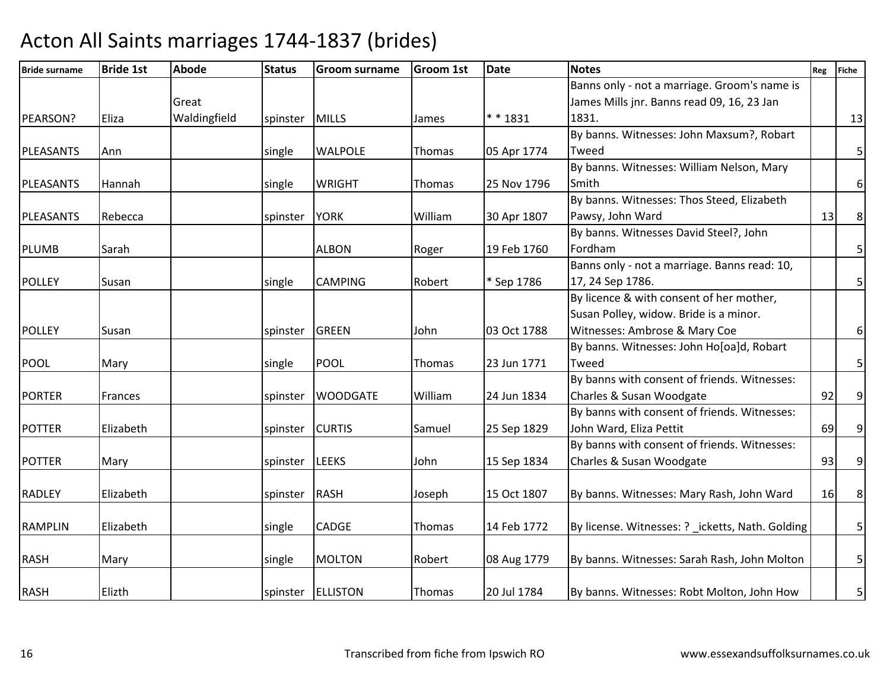| <b>Bride surname</b> | <b>Bride 1st</b> | <b>Abode</b> | <b>Status</b>  | <b>Groom surname</b> | <b>Groom 1st</b> | <b>Date</b> | <b>Notes</b>                                     | Reg | <b>Fiche</b>            |
|----------------------|------------------|--------------|----------------|----------------------|------------------|-------------|--------------------------------------------------|-----|-------------------------|
|                      |                  |              |                |                      |                  |             | Banns only - not a marriage. Groom's name is     |     |                         |
|                      |                  | Great        |                |                      |                  |             | James Mills jnr. Banns read 09, 16, 23 Jan       |     |                         |
| PEARSON?             | Eliza            | Waldingfield | spinster MILLS |                      | James            | ** 1831     | 1831.                                            |     | 13                      |
|                      |                  |              |                |                      |                  |             | By banns. Witnesses: John Maxsum?, Robart        |     |                         |
| PLEASANTS            | Ann              |              | single         | <b>WALPOLE</b>       | <b>Thomas</b>    | 05 Apr 1774 | Tweed                                            |     | 5                       |
|                      |                  |              |                |                      |                  |             | By banns. Witnesses: William Nelson, Mary        |     |                         |
| <b>PLEASANTS</b>     | Hannah           |              | single         | <b>WRIGHT</b>        | Thomas           | 25 Nov 1796 | Smith                                            |     | $\boldsymbol{6}$        |
|                      |                  |              |                |                      |                  |             | By banns. Witnesses: Thos Steed, Elizabeth       |     |                         |
| PLEASANTS            | Rebecca          |              | spinster       | <b>YORK</b>          | William          | 30 Apr 1807 | Pawsy, John Ward                                 | 13  | $\bf 8$                 |
|                      |                  |              |                |                      |                  |             | By banns. Witnesses David Steel?, John           |     |                         |
| <b>PLUMB</b>         | Sarah            |              |                | <b>ALBON</b>         | Roger            | 19 Feb 1760 | Fordham                                          |     | 5                       |
|                      |                  |              |                |                      |                  |             | Banns only - not a marriage. Banns read: 10,     |     |                         |
| <b>POLLEY</b>        | Susan            |              | single         | <b>CAMPING</b>       | Robert           | * Sep 1786  | 17, 24 Sep 1786.                                 |     | $\overline{5}$          |
|                      |                  |              |                |                      |                  |             | By licence & with consent of her mother,         |     |                         |
|                      |                  |              |                |                      |                  |             | Susan Polley, widow. Bride is a minor.           |     |                         |
| <b>POLLEY</b>        | Susan            |              | spinster       | GREEN                | John             | 03 Oct 1788 | Witnesses: Ambrose & Mary Coe                    |     | $6\,$                   |
|                      |                  |              |                |                      |                  |             | By banns. Witnesses: John Ho[oa]d, Robart        |     |                         |
| <b>POOL</b>          | Mary             |              | single         | <b>POOL</b>          | Thomas           | 23 Jun 1771 | Tweed                                            |     | 5                       |
|                      |                  |              |                |                      |                  |             | By banns with consent of friends. Witnesses:     |     |                         |
| <b>PORTER</b>        | Frances          |              | spinster       | <b>WOODGATE</b>      | William          | 24 Jun 1834 | Charles & Susan Woodgate                         | 92  | $\overline{9}$          |
|                      |                  |              |                |                      |                  |             | By banns with consent of friends. Witnesses:     |     |                         |
| <b>POTTER</b>        | Elizabeth        |              | spinster       | <b>CURTIS</b>        | Samuel           | 25 Sep 1829 | John Ward, Eliza Pettit                          | 69  | 9 <sup>1</sup>          |
|                      |                  |              |                |                      |                  |             | By banns with consent of friends. Witnesses:     |     |                         |
| <b>POTTER</b>        | Mary             |              | spinster       | <b>LEEKS</b>         | John             | 15 Sep 1834 | Charles & Susan Woodgate                         | 93  | $\overline{9}$          |
|                      |                  |              |                |                      |                  |             |                                                  |     |                         |
| <b>RADLEY</b>        | Elizabeth        |              | spinster       | <b>RASH</b>          | Joseph           | 15 Oct 1807 | By banns. Witnesses: Mary Rash, John Ward        | 16  | $\,8\,$                 |
| <b>RAMPLIN</b>       | Elizabeth        |              | single         | CADGE                | Thomas           | 14 Feb 1772 | By license. Witnesses: ? _icketts, Nath. Golding |     | 5 <sup>1</sup>          |
|                      |                  |              |                |                      |                  |             |                                                  |     |                         |
| <b>RASH</b>          | Mary             |              | single         | <b>MOLTON</b>        | Robert           | 08 Aug 1779 | By banns. Witnesses: Sarah Rash, John Molton     |     | $\overline{\mathbf{5}}$ |
|                      |                  |              |                |                      |                  |             |                                                  |     |                         |
| <b>RASH</b>          | Elizth           |              |                | spinster ELLISTON    | Thomas           | 20 Jul 1784 | By banns. Witnesses: Robt Molton, John How       |     | 5 <sup>1</sup>          |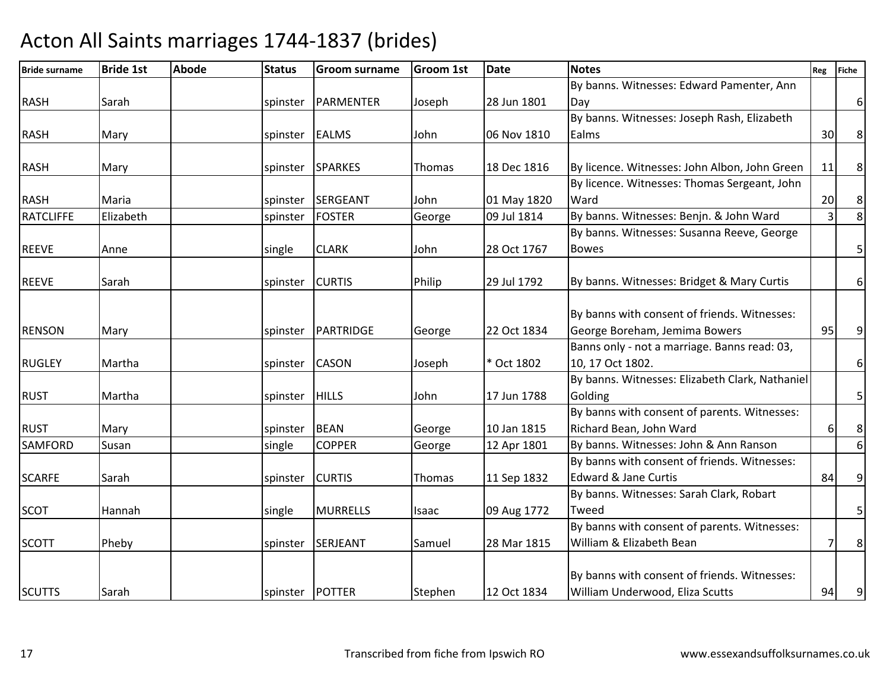| <b>Bride surname</b> | <b>Bride 1st</b> | <b>Abode</b> | <b>Status</b> | <b>Groom surname</b> | <b>Groom 1st</b> | <b>Date</b> | <b>Notes</b>                                    | Reg | <b>Fiche</b>     |
|----------------------|------------------|--------------|---------------|----------------------|------------------|-------------|-------------------------------------------------|-----|------------------|
|                      |                  |              |               |                      |                  |             | By banns. Witnesses: Edward Pamenter, Ann       |     |                  |
| <b>RASH</b>          | Sarah            |              | spinster      | PARMENTER            | Joseph           | 28 Jun 1801 | Dav                                             |     | $\boldsymbol{6}$ |
|                      |                  |              |               |                      |                  |             | By banns. Witnesses: Joseph Rash, Elizabeth     |     |                  |
| <b>RASH</b>          | Mary             |              | spinster      | <b>EALMS</b>         | John             | 06 Nov 1810 | Ealms                                           | 30  | $\bf 8$          |
|                      |                  |              |               |                      |                  |             |                                                 |     |                  |
| <b>RASH</b>          | Mary             |              | spinster      | <b>SPARKES</b>       | Thomas           | 18 Dec 1816 | By licence. Witnesses: John Albon, John Green   | 11  | $\bf 8$          |
|                      |                  |              |               |                      |                  |             | By licence. Witnesses: Thomas Sergeant, John    |     |                  |
| <b>RASH</b>          | Maria            |              | spinster      | SERGEANT             | John             | 01 May 1820 | Ward                                            | 20  | $\bf 8$          |
| <b>RATCLIFFE</b>     | Elizabeth        |              | spinster      | <b>FOSTER</b>        | George           | 09 Jul 1814 | By banns. Witnesses: Benjn. & John Ward         | 3   | $\infty$         |
|                      |                  |              |               |                      |                  |             | By banns. Witnesses: Susanna Reeve, George      |     |                  |
| <b>REEVE</b>         | Anne             |              | single        | <b>CLARK</b>         | John             | 28 Oct 1767 | <b>Bowes</b>                                    |     | 5                |
|                      |                  |              |               |                      |                  |             |                                                 |     |                  |
| <b>REEVE</b>         | Sarah            |              | spinster      | <b>CURTIS</b>        | Philip           | 29 Jul 1792 | By banns. Witnesses: Bridget & Mary Curtis      |     | 6 <sup>1</sup>   |
|                      |                  |              |               |                      |                  |             |                                                 |     |                  |
|                      |                  |              |               |                      |                  |             | By banns with consent of friends. Witnesses:    |     |                  |
| <b>RENSON</b>        | Mary             |              |               | spinster   PARTRIDGE | George           | 22 Oct 1834 | George Boreham, Jemima Bowers                   | 95  | 9                |
|                      |                  |              |               |                      |                  |             | Banns only - not a marriage. Banns read: 03,    |     |                  |
| <b>RUGLEY</b>        | Martha           |              | spinster      | <b>CASON</b>         | Joseph           | * Oct 1802  | 10, 17 Oct 1802.                                |     | $\,$ 6 $\,$      |
|                      |                  |              |               |                      |                  |             | By banns. Witnesses: Elizabeth Clark, Nathaniel |     |                  |
| <b>RUST</b>          | Martha           |              | spinster      | <b>HILLS</b>         | John             | 17 Jun 1788 | Golding                                         |     | $\overline{5}$   |
|                      |                  |              |               |                      |                  |             | By banns with consent of parents. Witnesses:    |     |                  |
| <b>RUST</b>          | Mary             |              | spinster      | <b>BEAN</b>          | George           | 10 Jan 1815 | Richard Bean, John Ward                         | 6   | $\bf 8$          |
| SAMFORD              | Susan            |              | single        | <b>COPPER</b>        | George           | 12 Apr 1801 | By banns. Witnesses: John & Ann Ranson          |     | $6\,$            |
|                      |                  |              |               |                      |                  |             | By banns with consent of friends. Witnesses:    |     |                  |
| <b>SCARFE</b>        | Sarah            |              | spinster      | <b>CURTIS</b>        | Thomas           | 11 Sep 1832 | <b>Edward &amp; Jane Curtis</b>                 | 84  | $\overline{9}$   |
|                      |                  |              |               |                      |                  |             | By banns. Witnesses: Sarah Clark, Robart        |     |                  |
| <b>SCOT</b>          | Hannah           |              | single        | <b>MURRELLS</b>      | Isaac            | 09 Aug 1772 | Tweed                                           |     | 5                |
|                      |                  |              |               |                      |                  |             | By banns with consent of parents. Witnesses:    |     |                  |
| <b>SCOTT</b>         | Pheby            |              |               | spinster SERJEANT    | Samuel           | 28 Mar 1815 | William & Elizabeth Bean                        | 7   | 8                |
|                      |                  |              |               |                      |                  |             |                                                 |     |                  |
|                      |                  |              |               |                      |                  |             | By banns with consent of friends. Witnesses:    |     |                  |
| <b>SCUTTS</b>        | Sarah            |              |               | spinster POTTER      | Stephen          | 12 Oct 1834 | William Underwood, Eliza Scutts                 | 94  | 9                |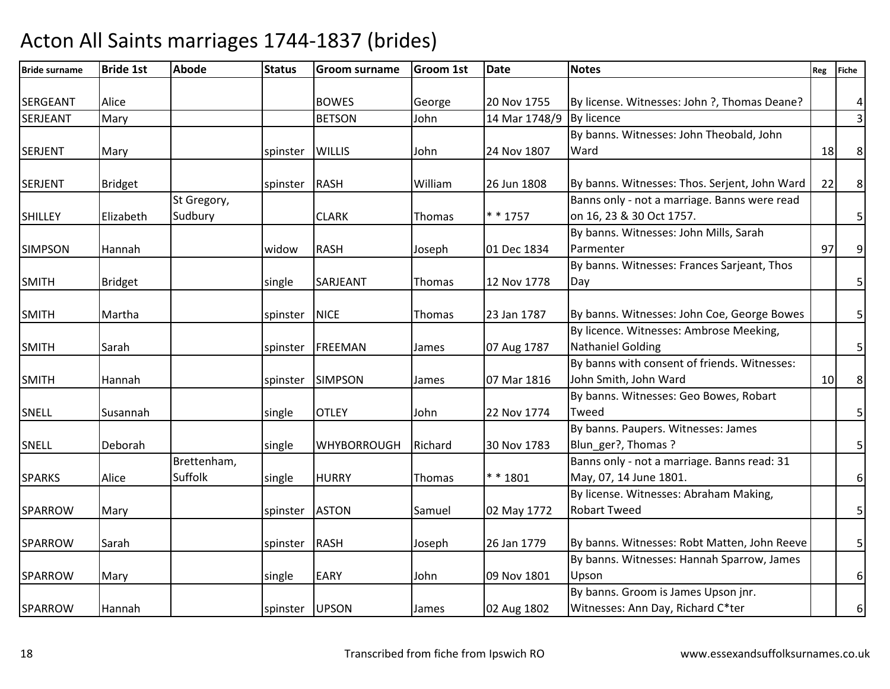| <b>Bride surname</b> | <b>Bride 1st</b> | <b>Abode</b> | <b>Status</b>  | <b>Groom surname</b> | <b>Groom 1st</b> | <b>Date</b>   | <b>Notes</b>                                  | Reg | <b>Fiche</b>            |
|----------------------|------------------|--------------|----------------|----------------------|------------------|---------------|-----------------------------------------------|-----|-------------------------|
|                      |                  |              |                |                      |                  |               |                                               |     |                         |
| <b>SERGEANT</b>      | Alice            |              |                | <b>BOWES</b>         | George           | 20 Nov 1755   | By license. Witnesses: John ?, Thomas Deane?  |     | 4                       |
| <b>SERJEANT</b>      | Mary             |              |                | <b>BETSON</b>        | John             | 14 Mar 1748/9 | <b>By licence</b>                             |     | 3 <sup>1</sup>          |
|                      |                  |              |                |                      |                  |               | By banns. Witnesses: John Theobald, John      |     |                         |
| <b>SERJENT</b>       | Mary             |              | spinster       | <b>WILLIS</b>        | John             | 24 Nov 1807   | Ward                                          | 18  | $\,8\,$                 |
|                      |                  |              |                |                      |                  |               |                                               |     |                         |
| <b>SERJENT</b>       | <b>Bridget</b>   |              | spinster       | <b>RASH</b>          | William          | 26 Jun 1808   | By banns. Witnesses: Thos. Serjent, John Ward | 22  | $8\phantom{.}$          |
|                      |                  | St Gregory,  |                |                      |                  |               | Banns only - not a marriage. Banns were read  |     |                         |
| <b>SHILLEY</b>       | Elizabeth        | Sudbury      |                | <b>CLARK</b>         | Thomas           | $* * 1757$    | on 16, 23 & 30 Oct 1757.                      |     | $\overline{5}$          |
|                      |                  |              |                |                      |                  |               | By banns. Witnesses: John Mills, Sarah        |     |                         |
| <b>SIMPSON</b>       | Hannah           |              | widow          | <b>RASH</b>          | Joseph           | 01 Dec 1834   | Parmenter                                     | 97  | $\overline{9}$          |
|                      |                  |              |                |                      |                  |               | By banns. Witnesses: Frances Sarjeant, Thos   |     |                         |
| <b>SMITH</b>         | Bridget          |              | single         | SARJEANT             | Thomas           | 12 Nov 1778   | Day                                           |     | 5 <sup>1</sup>          |
|                      |                  |              |                |                      |                  |               |                                               |     |                         |
| <b>SMITH</b>         | Martha           |              | spinster       | <b>NICE</b>          | Thomas           | 23 Jan 1787   | By banns. Witnesses: John Coe, George Bowes   |     | 5 <sup>1</sup>          |
|                      |                  |              |                |                      |                  |               | By licence. Witnesses: Ambrose Meeking,       |     |                         |
| <b>SMITH</b>         | Sarah            |              | spinster       | <b>FREEMAN</b>       | James            | 07 Aug 1787   | <b>Nathaniel Golding</b>                      |     | $\overline{\mathbf{5}}$ |
|                      |                  |              |                |                      |                  |               | By banns with consent of friends. Witnesses:  |     |                         |
| <b>SMITH</b>         | Hannah           |              |                | spinster SIMPSON     | James            | 07 Mar 1816   | John Smith, John Ward                         | 10  | $\bf 8$                 |
|                      |                  |              |                |                      |                  |               | By banns. Witnesses: Geo Bowes, Robart        |     |                         |
| <b>SNELL</b>         | Susannah         |              | single         | <b>OTLEY</b>         | John             | 22 Nov 1774   | Tweed                                         |     | 5 <sup>1</sup>          |
|                      |                  |              |                |                      |                  |               | By banns. Paupers. Witnesses: James           |     |                         |
| SNELL                | Deborah          |              | single         | <b>WHYBORROUGH</b>   | Richard          | 30 Nov 1783   | Blun_ger?, Thomas?                            |     | 5                       |
|                      |                  | Brettenham,  |                |                      |                  |               | Banns only - not a marriage. Banns read: 31   |     |                         |
| <b>SPARKS</b>        | Alice            | Suffolk      | single         | <b>HURRY</b>         | Thomas           | ** 1801       | May, 07, 14 June 1801.                        |     | $\boldsymbol{6}$        |
|                      |                  |              |                |                      |                  |               | By license. Witnesses: Abraham Making,        |     |                         |
| <b>SPARROW</b>       | Mary             |              | spinster       | <b>ASTON</b>         | Samuel           | 02 May 1772   | <b>Robart Tweed</b>                           |     | $\overline{\mathbf{5}}$ |
|                      |                  |              |                |                      |                  |               |                                               |     |                         |
| <b>SPARROW</b>       | Sarah            |              | spinster RASH  |                      | Joseph           | 26 Jan 1779   | By banns. Witnesses: Robt Matten, John Reeve  |     | $5\vert$                |
|                      |                  |              |                |                      |                  |               | By banns. Witnesses: Hannah Sparrow, James    |     |                         |
| <b>SPARROW</b>       | Mary             |              | single         | <b>EARY</b>          | John             | 09 Nov 1801   | Upson                                         |     | 6 <sup>1</sup>          |
|                      |                  |              |                |                      |                  |               | By banns. Groom is James Upson jnr.           |     |                         |
| SPARROW              | Hannah           |              | spinster UPSON |                      | James            | 02 Aug 1802   | Witnesses: Ann Day, Richard C*ter             |     | 6 <sup>1</sup>          |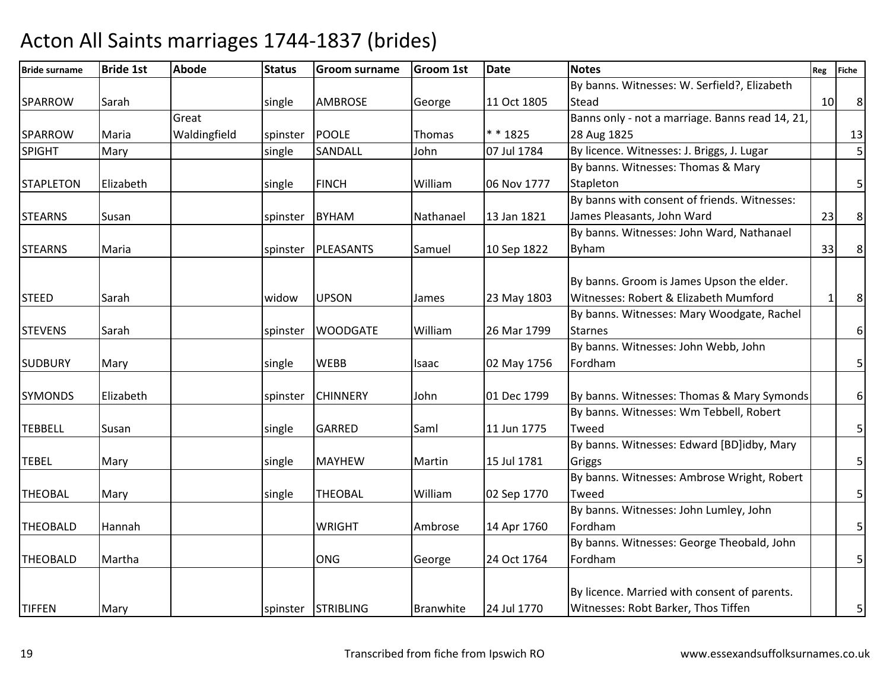| <b>Bride surname</b> | <b>Bride 1st</b> | <b>Abode</b> | <b>Status</b> | <b>Groom surname</b> | <b>Groom 1st</b> | Date        | <b>Notes</b>                                    | Reg          | <b>Fiche</b>     |
|----------------------|------------------|--------------|---------------|----------------------|------------------|-------------|-------------------------------------------------|--------------|------------------|
|                      |                  |              |               |                      |                  |             | By banns. Witnesses: W. Serfield?, Elizabeth    |              |                  |
| SPARROW              | Sarah            |              | single        | <b>AMBROSE</b>       | George           | 11 Oct 1805 | Stead                                           | 10           | 8                |
|                      |                  | Great        |               |                      |                  |             | Banns only - not a marriage. Banns read 14, 21, |              |                  |
| <b>SPARROW</b>       | Maria            | Waldingfield | spinster      | <b>POOLE</b>         | Thomas           | $* * 1825$  | 28 Aug 1825                                     |              | 13               |
| <b>SPIGHT</b>        | Mary             |              | single        | SANDALL              | John             | 07 Jul 1784 | By licence. Witnesses: J. Briggs, J. Lugar      |              | 5                |
|                      |                  |              |               |                      |                  |             | By banns. Witnesses: Thomas & Mary              |              |                  |
| <b>STAPLETON</b>     | Elizabeth        |              | single        | <b>FINCH</b>         | William          | 06 Nov 1777 | Stapleton                                       |              | $\overline{5}$   |
|                      |                  |              |               |                      |                  |             | By banns with consent of friends. Witnesses:    |              |                  |
| <b>STEARNS</b>       | Susan            |              | spinster      | <b>BYHAM</b>         | Nathanael        | 13 Jan 1821 | James Pleasants, John Ward                      | 23           | $\,8\,$          |
|                      |                  |              |               |                      |                  |             | By banns. Witnesses: John Ward, Nathanael       |              |                  |
| <b>STEARNS</b>       | Maria            |              | spinster      | PLEASANTS            | Samuel           | 10 Sep 1822 | <b>Byham</b>                                    | 33           | 8 <sup>°</sup>   |
|                      |                  |              |               |                      |                  |             |                                                 |              |                  |
|                      |                  |              |               |                      |                  |             | By banns. Groom is James Upson the elder.       |              |                  |
| <b>STEED</b>         | Sarah            |              | widow         | <b>UPSON</b>         | James            | 23 May 1803 | Witnesses: Robert & Elizabeth Mumford           | $\mathbf{1}$ | 8                |
|                      |                  |              |               |                      |                  |             | By banns. Witnesses: Mary Woodgate, Rachel      |              |                  |
| <b>STEVENS</b>       | Sarah            |              | spinster      | <b>WOODGATE</b>      | William          | 26 Mar 1799 | <b>Starnes</b>                                  |              | $\boldsymbol{6}$ |
|                      |                  |              |               |                      |                  |             | By banns. Witnesses: John Webb, John            |              |                  |
| <b>SUDBURY</b>       | Mary             |              | single        | <b>WEBB</b>          | Isaac            | 02 May 1756 | Fordham                                         |              | $\overline{5}$   |
|                      |                  |              |               |                      |                  |             |                                                 |              |                  |
| <b>SYMONDS</b>       | Elizabeth        |              | spinster      | <b>CHINNERY</b>      | John             | 01 Dec 1799 | By banns. Witnesses: Thomas & Mary Symonds      |              | $\boldsymbol{6}$ |
|                      |                  |              |               |                      |                  |             | By banns. Witnesses: Wm Tebbell, Robert         |              |                  |
| <b>TEBBELL</b>       | Susan            |              | single        | <b>GARRED</b>        | Saml             | 11 Jun 1775 | Tweed                                           |              | $5\vert$         |
|                      |                  |              |               |                      |                  |             | By banns. Witnesses: Edward [BD]idby, Mary      |              |                  |
| <b>TEBEL</b>         | Mary             |              | single        | <b>MAYHEW</b>        | Martin           | 15 Jul 1781 | Griggs                                          |              | $\overline{5}$   |
|                      |                  |              |               |                      |                  |             | By banns. Witnesses: Ambrose Wright, Robert     |              |                  |
| <b>THEOBAL</b>       | Mary             |              | single        | <b>THEOBAL</b>       | William          | 02 Sep 1770 | Tweed                                           |              | 5 <sup>1</sup>   |
|                      |                  |              |               |                      |                  |             | By banns. Witnesses: John Lumley, John          |              |                  |
| <b>THEOBALD</b>      | Hannah           |              |               | <b>WRIGHT</b>        | Ambrose          | 14 Apr 1760 | Fordham                                         |              | $\overline{5}$   |
|                      |                  |              |               |                      |                  |             | By banns. Witnesses: George Theobald, John      |              |                  |
| <b>THEOBALD</b>      | Martha           |              |               | <b>ONG</b>           | George           | 24 Oct 1764 | Fordham                                         |              | 5                |
|                      |                  |              |               |                      |                  |             |                                                 |              |                  |
|                      |                  |              |               |                      |                  |             | By licence. Married with consent of parents.    |              |                  |
| <b>TIFFEN</b>        | Mary             |              |               | spinster STRIBLING   | Branwhite        | 24 Jul 1770 | Witnesses: Robt Barker, Thos Tiffen             |              | 5 <sub>l</sub>   |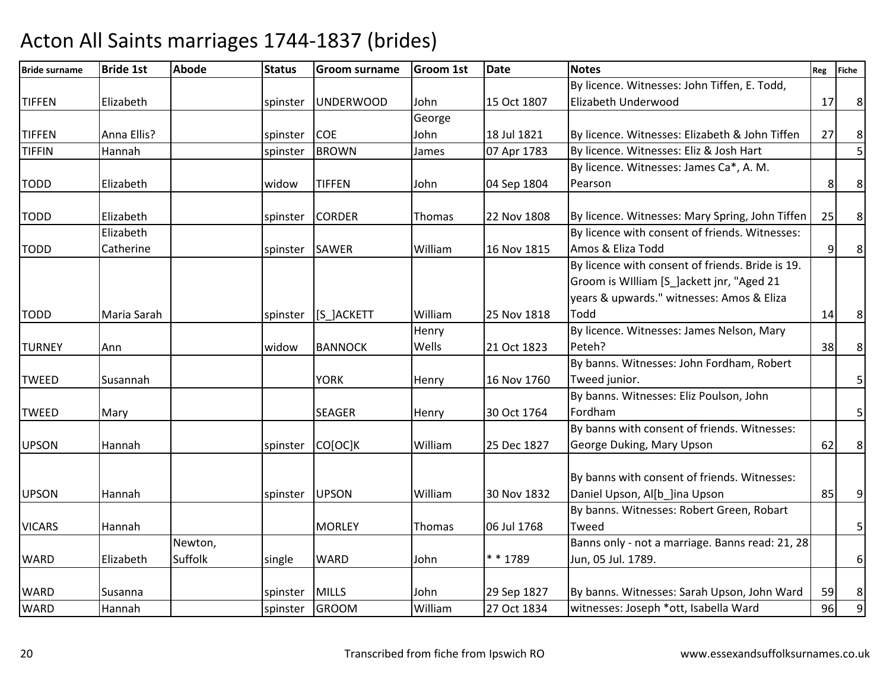| <b>Bride surname</b> | <b>Bride 1st</b> | <b>Abode</b> | <b>Status</b>  | <b>Groom surname</b> | <b>Groom 1st</b> | <b>Date</b> | <b>Notes</b>                                     | Reg | <b>Fiche</b>   |
|----------------------|------------------|--------------|----------------|----------------------|------------------|-------------|--------------------------------------------------|-----|----------------|
|                      |                  |              |                |                      |                  |             | By licence. Witnesses: John Tiffen, E. Todd,     |     |                |
| <b>TIFFEN</b>        | Elizabeth        |              | spinster       | <b>UNDERWOOD</b>     | John             | 15 Oct 1807 | Elizabeth Underwood                              | 17  | 8              |
|                      |                  |              |                |                      | George           |             |                                                  |     |                |
| <b>TIFFEN</b>        | Anna Ellis?      |              | spinster COE   |                      | John             | 18 Jul 1821 | By licence. Witnesses: Elizabeth & John Tiffen   | 27  | $\,8\,$        |
| <b>TIFFIN</b>        | Hannah           |              | spinster       | <b>BROWN</b>         | James            | 07 Apr 1783 | By licence. Witnesses: Eliz & Josh Hart          |     | 5              |
|                      |                  |              |                |                      |                  |             | By licence. Witnesses: James Ca*, A. M.          |     |                |
| <b>TODD</b>          | Elizabeth        |              | widow          | <b>TIFFEN</b>        | John             | 04 Sep 1804 | Pearson                                          | 8   | $\,8\,$        |
| <b>TODD</b>          | Elizabeth        |              |                | <b>CORDER</b>        |                  | 22 Nov 1808 | By licence. Witnesses: Mary Spring, John Tiffen  | 25  | $\,8\,$        |
|                      | Elizabeth        |              | spinster       |                      | <b>Thomas</b>    |             | By licence with consent of friends. Witnesses:   |     |                |
| <b>TODD</b>          | Catherine        |              | spinster SAWER |                      | William          | 16 Nov 1815 | Amos & Eliza Todd                                | 9   | $8\phantom{1}$ |
|                      |                  |              |                |                      |                  |             | By licence with consent of friends. Bride is 19. |     |                |
|                      |                  |              |                |                      |                  |             | Groom is William [S_]ackett jnr, "Aged 21        |     |                |
|                      |                  |              |                |                      |                  |             | years & upwards." witnesses: Amos & Eliza        |     |                |
| <b>TODD</b>          | Maria Sarah      |              |                | spinster [S_]ACKETT  | William          | 25 Nov 1818 | Todd                                             | 14  | $8\phantom{1}$ |
|                      |                  |              |                |                      | Henry            |             | By licence. Witnesses: James Nelson, Mary        |     |                |
| <b>TURNEY</b>        | Ann              |              | widow          | <b>BANNOCK</b>       | Wells            | 21 Oct 1823 | Peteh?                                           | 38  | $\,8\,$        |
|                      |                  |              |                |                      |                  |             | By banns. Witnesses: John Fordham, Robert        |     |                |
| <b>TWEED</b>         | Susannah         |              |                | <b>YORK</b>          |                  | 16 Nov 1760 | Tweed junior.                                    |     | 5              |
|                      |                  |              |                |                      | Henry            |             | By banns. Witnesses: Eliz Poulson, John          |     |                |
| <b>TWEED</b>         | Mary             |              |                | <b>SEAGER</b>        | Henry            | 30 Oct 1764 | Fordham                                          |     | 5              |
|                      |                  |              |                |                      |                  |             | By banns with consent of friends. Witnesses:     |     |                |
| <b>UPSON</b>         | Hannah           |              |                | spinster CO[OC]K     | William          | 25 Dec 1827 | George Duking, Mary Upson                        | 62  | $\bf 8$        |
|                      |                  |              |                |                      |                  |             |                                                  |     |                |
|                      |                  |              |                |                      |                  |             | By banns with consent of friends. Witnesses:     |     |                |
| <b>UPSON</b>         | Hannah           |              | spinster UPSON |                      | William          | 30 Nov 1832 | Daniel Upson, Al[b ]ina Upson                    | 85  | 9              |
|                      |                  |              |                |                      |                  |             | By banns. Witnesses: Robert Green, Robart        |     |                |
| <b>VICARS</b>        | Hannah           |              |                | <b>MORLEY</b>        | Thomas           | 06 Jul 1768 | Tweed                                            |     | 5              |
|                      |                  | Newton,      |                |                      |                  |             | Banns only - not a marriage. Banns read: 21, 28  |     |                |
| <b>WARD</b>          | Elizabeth        | Suffolk      | single         | <b>WARD</b>          | John             | ** 1789     | Jun, 05 Jul. 1789.                               |     | $6 \mid$       |
|                      |                  |              |                |                      |                  |             |                                                  |     |                |
| <b>WARD</b>          | Susanna          |              | spinster       | MILLS                | John             | 29 Sep 1827 | By banns. Witnesses: Sarah Upson, John Ward      | 59  | $\bf 8$        |
| <b>WARD</b>          | Hannah           |              | spinster       | <b>GROOM</b>         | William          | 27 Oct 1834 | witnesses: Joseph *ott, Isabella Ward            | 96  | $\overline{9}$ |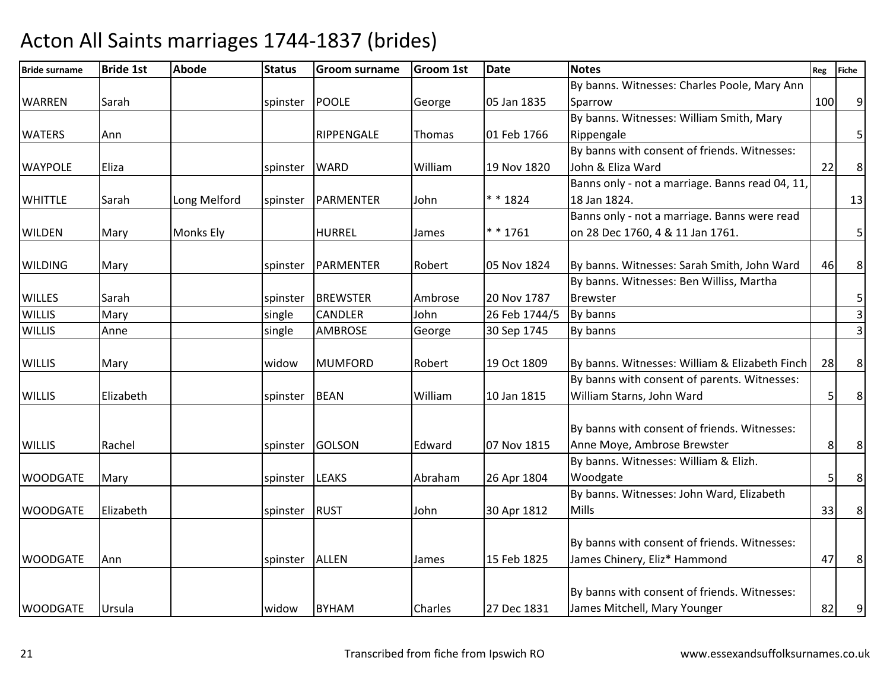| <b>Bride surname</b> | <b>Bride 1st</b> | <b>Abode</b>     | <b>Status</b>    | <b>Groom surname</b> | <b>Groom 1st</b> | <b>Date</b>   | <b>Notes</b>                                    | Reg | <b>Fiche</b>   |
|----------------------|------------------|------------------|------------------|----------------------|------------------|---------------|-------------------------------------------------|-----|----------------|
|                      |                  |                  |                  |                      |                  |               | By banns. Witnesses: Charles Poole, Mary Ann    |     |                |
| <b>WARREN</b>        | Sarah            |                  | spinster   POOLE |                      | George           | 05 Jan 1835   | Sparrow                                         | 100 | 9              |
|                      |                  |                  |                  |                      |                  |               | By banns. Witnesses: William Smith, Mary        |     |                |
| <b>WATERS</b>        | Ann              |                  |                  | RIPPENGALE           | Thomas           | 01 Feb 1766   | Rippengale                                      |     | 5 <sup>1</sup> |
|                      |                  |                  |                  |                      |                  |               | By banns with consent of friends. Witnesses:    |     |                |
| <b>WAYPOLE</b>       | Eliza            |                  | spinster         | <b>WARD</b>          | William          | 19 Nov 1820   | John & Eliza Ward                               | 22  | $\,8\,$        |
|                      |                  |                  |                  |                      |                  |               | Banns only - not a marriage. Banns read 04, 11, |     |                |
| <b>WHITTLE</b>       | Sarah            | Long Melford     | spinster         | PARMENTER            | John             | ** 1824       | 18 Jan 1824.                                    |     | 13             |
|                      |                  |                  |                  |                      |                  |               | Banns only - not a marriage. Banns were read    |     |                |
| <b>WILDEN</b>        | Mary             | <b>Monks Ely</b> |                  | <b>HURREL</b>        | James            | ** 1761       | on 28 Dec 1760, 4 & 11 Jan 1761.                |     | 5              |
|                      |                  |                  |                  |                      |                  |               |                                                 |     |                |
| <b>WILDING</b>       | Mary             |                  | spinster         | PARMENTER            | Robert           | 05 Nov 1824   | By banns. Witnesses: Sarah Smith, John Ward     | 46  | $\bf 8$        |
|                      |                  |                  |                  |                      |                  |               | By banns. Witnesses: Ben Williss, Martha        |     |                |
| <b>WILLES</b>        | Sarah            |                  | spinster         | <b>BREWSTER</b>      | Ambrose          | 20 Nov 1787   | <b>Brewster</b>                                 |     | 5              |
| <b>WILLIS</b>        | Mary             |                  | single           | <b>CANDLER</b>       | John             | 26 Feb 1744/5 | By banns                                        |     | $\mathbf{3}$   |
| <b>WILLIS</b>        | Anne             |                  | single           | <b>AMBROSE</b>       | George           | 30 Sep 1745   | By banns                                        |     | $\overline{3}$ |
|                      |                  |                  |                  |                      |                  |               |                                                 |     |                |
| <b>WILLIS</b>        | Mary             |                  | widow            | <b>MUMFORD</b>       | Robert           | 19 Oct 1809   | By banns. Witnesses: William & Elizabeth Finch  | 28  | 8              |
|                      |                  |                  |                  |                      |                  |               | By banns with consent of parents. Witnesses:    |     |                |
| <b>WILLIS</b>        | Elizabeth        |                  | spinster         | BEAN                 | William          | 10 Jan 1815   | William Starns, John Ward                       | 5   | $\bf 8$        |
|                      |                  |                  |                  |                      |                  |               |                                                 |     |                |
|                      |                  |                  |                  |                      |                  |               | By banns with consent of friends. Witnesses:    |     |                |
| <b>WILLIS</b>        | Rachel           |                  |                  | spinster GOLSON      | Edward           | 07 Nov 1815   | Anne Moye, Ambrose Brewster                     | 8   | $\,8\,$        |
|                      |                  |                  |                  |                      |                  |               | By banns. Witnesses: William & Elizh.           |     |                |
| <b>WOODGATE</b>      | Mary             |                  | spinster         | <b>LEAKS</b>         | Abraham          | 26 Apr 1804   | Woodgate                                        | 5   | $\,8\,$        |
|                      |                  |                  |                  |                      |                  |               | By banns. Witnesses: John Ward, Elizabeth       |     |                |
| <b>WOODGATE</b>      | Elizabeth        |                  | spinster RUST    |                      | John             | 30 Apr 1812   | <b>Mills</b>                                    | 33  | 8 <sup>1</sup> |
|                      |                  |                  |                  |                      |                  |               | By banns with consent of friends. Witnesses:    |     |                |
| <b>WOODGATE</b>      | Ann              |                  | spinster   ALLEN |                      |                  | 15 Feb 1825   | James Chinery, Eliz* Hammond                    | 47  | 8              |
|                      |                  |                  |                  |                      | James            |               |                                                 |     |                |
|                      |                  |                  |                  |                      |                  |               | By banns with consent of friends. Witnesses:    |     |                |
| <b>WOODGATE</b>      |                  |                  |                  | <b>BYHAM</b>         | Charles          | 27 Dec 1831   | James Mitchell, Mary Younger                    | 82  |                |
|                      | Ursula           |                  | widow            |                      |                  |               |                                                 |     | 9              |